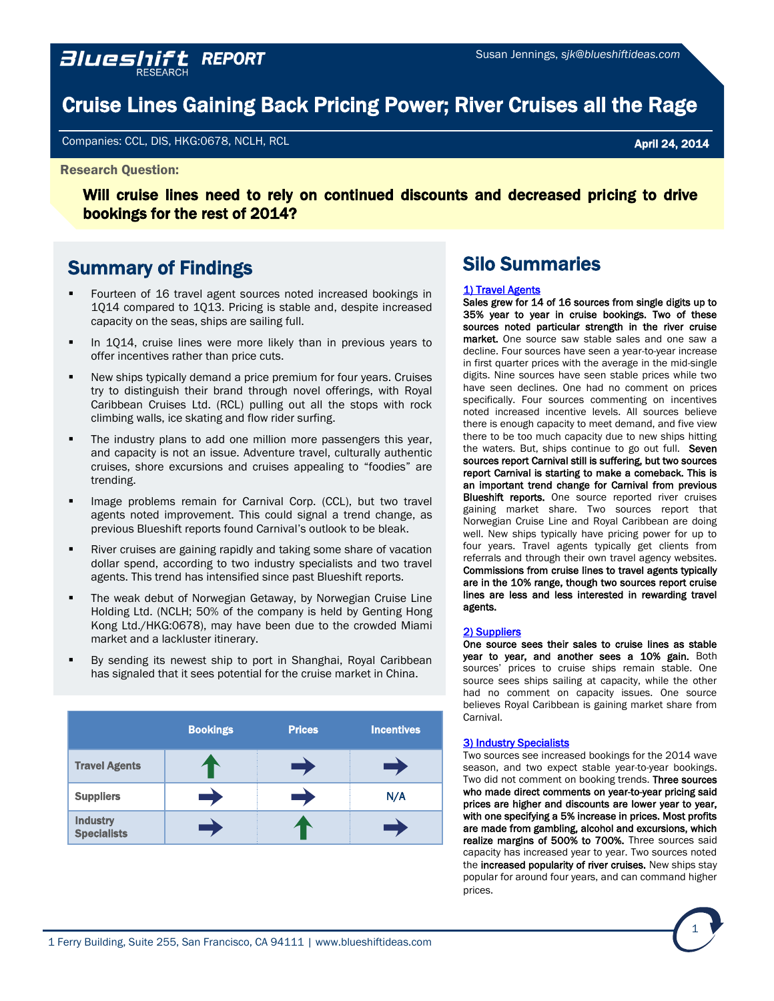# Cruise Lines Gaining Back Pricing Power; River Cruises all the Rage

Companies: CCL, DIS, HKG:0678, NCLH, RCL April 24, 2014

#### Research Question:

Will cruise lines need to rely on continued discounts and decreased pricing to drive bookings for the rest of 2014?

# Summary of Findings

- Fourteen of 16 travel agent sources noted increased bookings in 1Q14 compared to 1Q13. Pricing is stable and, despite increased capacity on the seas, ships are sailing full.
- In 1Q14, cruise lines were more likely than in previous years to offer incentives rather than price cuts.
- New ships typically demand a price premium for four years. Cruises try to distinguish their brand through novel offerings, with Royal Caribbean [Cruises Ltd.](http://www.royalcaribbean.com/home.do) (RCL) pulling out all the stops with rock climbing walls, ice skating and flow rider surfing.
- The industry plans to add one million more passengers this year, and capacity is not an issue. Adventure travel, culturally authentic cruises, shore excursions and cruises appealing to "foodies" are trending.
- Image problems remain for [Carnival Corp.](http://www.carnival.com/) (CCL), but two travel agents noted improvement. This could signal a trend change, as [previous Blueshift reports](http://blueshiftideas.com/reports/011402WaveSeasonBookingsSwellCarnivalFlounders.pdf) found Carnival's outlook to be bleak.
- River cruises are gaining rapidly and taking some share of vacation dollar spend, according to two industry specialists and two travel agents. This trend has intensified since past Blueshift reports.
- The weak debut of Norwegian Getaway, by Norwegian Cruise Line [Holding Ltd.](http://www.ncl.com/) (NCLH; 50% of the company is held by [Genting Hong](http://www.gentinghk.com/en/home.aspx)  [Kong Ltd./](http://www.gentinghk.com/en/home.aspx)HKG:0678), may have been due to the crowded Miami market and a lackluster itinerary.
- By sending its newest ship to port in Shanghai, Royal Caribbean has signaled that it sees potential for the cruise market in China.

|                                       | <b>Bookings</b> | <b>Prices</b> | <b>Incentives</b> |
|---------------------------------------|-----------------|---------------|-------------------|
| <b>Travel Agents</b>                  |                 |               |                   |
| <b>Suppliers</b>                      |                 |               | N/A               |
| <b>Industry</b><br><b>Specialists</b> |                 |               |                   |

# Silo Summaries

#### 1) Travel Agents

Sales grew for 14 of 16 sources from single digits up to 35% year to year in cruise bookings. Two of these sources noted particular strength in the river cruise market. One source saw stable sales and one saw a decline. Four sources have seen a year-to-year increase in first quarter prices with the average in the mid-single digits. Nine sources have seen stable prices while two [have seen declines. One had no comment on price](http://www.royalcaribbean.com/home.do)s specifically. Four sources commenting on incentives noted increased incentive levels. All sources believe there is enough capacity to meet demand, and five view there to be too much capacity due to new ships hitting the waters. But, ships continue to go out full. Seven sources report Carnival still is suffering, but two sources report Carnival is starting to make a comeback. This is an important trend change for Carnival from previous **Blueshift reports.** One source reported river cruises gaining market share. Two sources report that Norwegian Cruise Line and Royal Caribbean are doing well. New ships typically have pricing power for up to four years. Travel agents typically get clients from referrals and through their own travel agency websites. Commissions from cruise lines to travel agents typically are in the 10% range, though two sources report cruise [lines are less and less interested in rewarding trav](http://www.ncl.com/)el agents.

#### [2\) Suppliers](#page-21-0)

One source sees their sales to cruise lines as stable year to year, and another sees a 10% gain. Both sources' prices to cruise ships remain stable. One source sees ships sailing at capacity, while the other had no comment on capacity issues. One source believes Royal Caribbean is gaining market share from Carnival.

#### [3\) Industry Specialists](#page-22-0)

Two sources see increased bookings for the 2014 wave season, and two expect stable year-to-year bookings. Two did not comment on booking trends. Three sources who made direct comments on year-to-year pricing said prices are higher and discounts are lower year to year, with one specifying a 5% increase in prices. Most profits are made from gambling, alcohol and excursions, which realize margins of 500% to 700%. Three sources said capacity has increased year to year. Two sources noted the increased popularity of river cruises. New ships stay popular for around four years, and can command higher prices.

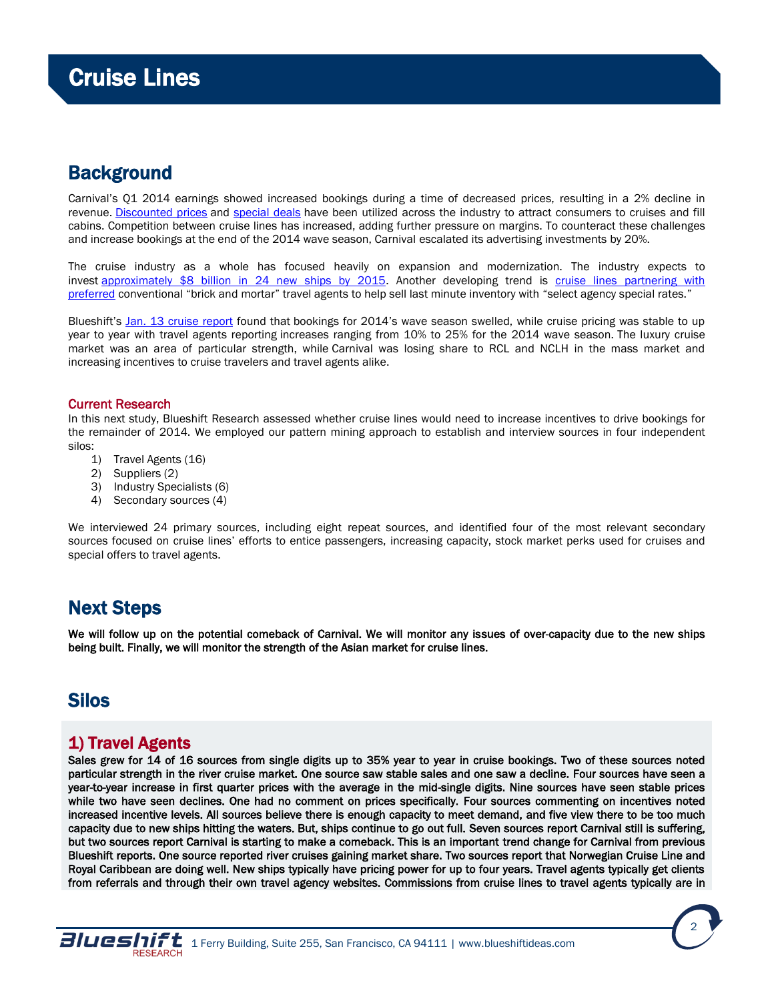# <span id="page-1-0"></span>**Background**

Carnival's Q1 2014 earnings showed increased bookings during a time of decreased prices, resulting in a 2% decline in revenue. [Discounted prices](http://www.howlifeworks.com/travel/VTG_joy_of_cruising?ag_id=166&wid=204647BE-F1C4-4B84-A30A-C46D4C859471&did=2750&cid=1005&si_id=3191) and [special deals](http://lifehacker.com/ask-for-hidden-cruise-discounts-and-save-big-bucks-on-y-1532466177) have been utilized across the industry to attract consumers to cruises and fill cabins. Competition between cruise lines has increased, adding further pressure on margins. To counteract these challenges and increase bookings at the end of the 2014 wave season, Carnival escalated its advertising investments by 20%.

The cruise industry as a whole has focused heavily on expansion and modernization. The industry expects to invest [approximately \\$8 billion in 24 new ships by 2015.](http://www.ibtimes.com/cruise-industry-invest-8-billion-24-new-ships-through-2015-1544115) Another developing trend is cruise [lines partnering with](http://www.cruisecritic.com/articles.cfm?ID=1129)  [preferred](http://www.cruisecritic.com/articles.cfm?ID=1129) conventional "brick and mortar" travel agents to help sell last minute inventory with "select agency special rates."

Blueshift's [Jan. 13 cruise report](http://blueshiftideas.com/reports/011402WaveSeasonBookingsSwellCarnivalFlounders.pdf) found that bookings for 2014's wave season swelled, while cruise pricing was stable to up year to year with travel agents reporting increases ranging from 10% to 25% for the 2014 wave season. The luxury cruise market was an area of particular strength, while Carnival was losing share to RCL and NCLH in the mass market and increasing incentives to cruise travelers and travel agents alike.

# Current Research

In this next study, Blueshift Research assessed whether cruise lines would need to increase incentives to drive bookings for the remainder of 2014. We employed our pattern mining approach to establish and interview sources in four independent silos:

- 1) Travel Agents (16)
- 2) Suppliers (2)
- 3) Industry Specialists (6)
- 4) Secondary sources (4)

We interviewed 24 primary sources, including eight repeat sources, and identified four of the most relevant secondary sources focused on cruise lines' efforts to entice passengers, increasing capacity, stock market perks used for cruises and special offers to travel agents.

# Next Steps

We will follow up on the potential comeback of Carnival. We will monitor any issues of over-capacity due to the new ships being built. Finally, we will monitor the strength of the Asian market for cruise lines.

# Silos

# 1) Travel Agents

Sales grew for 14 of 16 sources from single digits up to 35% year to year in cruise bookings. Two of these sources noted particular strength in the river cruise market. One source saw stable sales and one saw a decline. Four sources have seen a year-to-year increase in first quarter prices with the average in the mid-single digits. Nine sources have seen stable prices while two have seen declines. One had no comment on prices specifically. Four sources commenting on incentives noted increased incentive levels. All sources believe there is enough capacity to meet demand, and five view there to be too much capacity due to new ships hitting the waters. But, ships continue to go out full. Seven sources report Carnival still is suffering, but two sources report Carnival is starting to make a comeback. This is an important trend change for Carnival from previous Blueshift reports. One source reported river cruises gaining market share. Two sources report that Norwegian Cruise Line and Royal Caribbean are doing well. New ships typically have pricing power for up to four years. Travel agents typically get clients from referrals and through their own travel agency websites. Commissions from cruise lines to travel agents typically are in

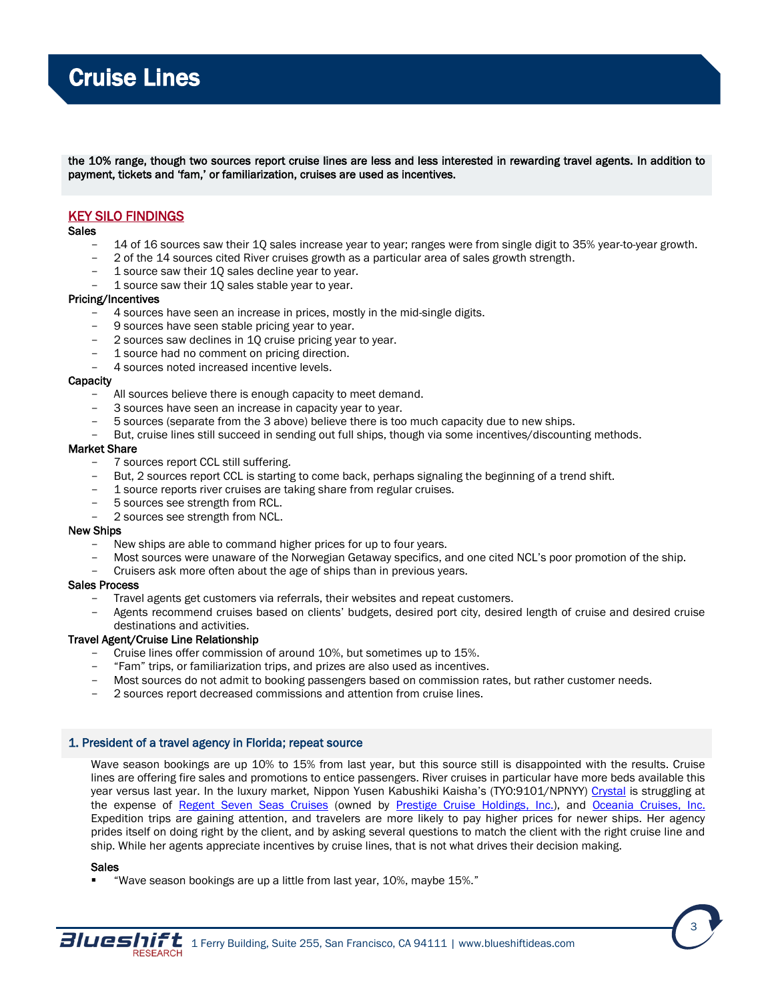the 10% range, though two sources report cruise lines are less and less interested in rewarding travel agents. In addition to payment, tickets and 'fam,' or familiarization, cruises are used as incentives.

# KEY SILO FINDINGS

### **Sales**

- 14 of 16 sources saw their 10 sales increase year to year; ranges were from single digit to 35% year-to-year growth.
- 2 of the 14 sources cited River cruises growth as a particular area of sales growth strength.
- 1 source saw their 1Q sales decline year to year.
- 1 source saw their 1Q sales stable year to year.

### Pricing/Incentives

- 4 sources have seen an increase in prices, mostly in the mid-single digits.
- 9 sources have seen stable pricing year to year.
- 2 sources saw declines in 1Q cruise pricing year to year.
- 1 source had no comment on pricing direction.
- 4 sources noted increased incentive levels.

### **Capacity**

- All sources believe there is enough capacity to meet demand.
- 3 sources have seen an increase in capacity year to year.
- 5 sources (separate from the 3 above) believe there is too much capacity due to new ships.
- But, cruise lines still succeed in sending out full ships, though via some incentives/discounting methods.

#### Market Share

- 7 sources report CCL still suffering.
- But, 2 sources report CCL is starting to come back, perhaps signaling the beginning of a trend shift.
- 1 source reports river cruises are taking share from regular cruises.
- 5 sources see strength from RCL.
- 2 sources see strength from NCL.

#### New Ships

- New ships are able to command higher prices for up to four years.
- Most sources were unaware of the Norwegian Getaway specifics, and one cited NCL's poor promotion of the ship.
- Cruisers ask more often about the age of ships than in previous years.

### Sales Process

- Travel agents get customers via referrals, their websites and repeat customers.
- Agents recommend cruises based on clients' budgets, desired port city, desired length of cruise and desired cruise destinations and activities.

# Travel Agent/Cruise Line Relationship

- Cruise lines offer commission of around 10%, but sometimes up to 15%.
- "Fam" trips, or familiarization trips, and prizes are also used as incentives.
- Most sources do not admit to booking passengers based on commission rates, but rather customer needs.
- 2 sources report decreased commissions and attention from cruise lines.

# 1. President of a travel agency in Florida; repeat source

Wave season bookings are up 10% to 15% from last year, but this source still is disappointed with the results. Cruise lines are offering fire sales and promotions to entice passengers. River cruises in particular have more beds available this year versus last year. In the luxury market, Nippon Yusen Kabushiki Kaisha's (TYO:9101/NPNYY) [Crystal](http://www.crystalcruises.com/) is struggling at the expense of [Regent Seven Seas Cruises](http://www.rssc.com/) (owned by [Prestige Cruise Holdings, Inc.\)](http://www.prestigecruiseholdings.com/), and [Oceania Cruises, Inc.](http://www.oceaniacruises.com/) Expedition trips are gaining attention, and travelers are more likely to pay higher prices for newer ships. Her agency prides itself on doing right by the client, and by asking several questions to match the client with the right cruise line and ship. While her agents appreciate incentives by cruise lines, that is not what drives their decision making.

### Sales

"Wave season bookings are up a little from last year, 10%, maybe 15%."



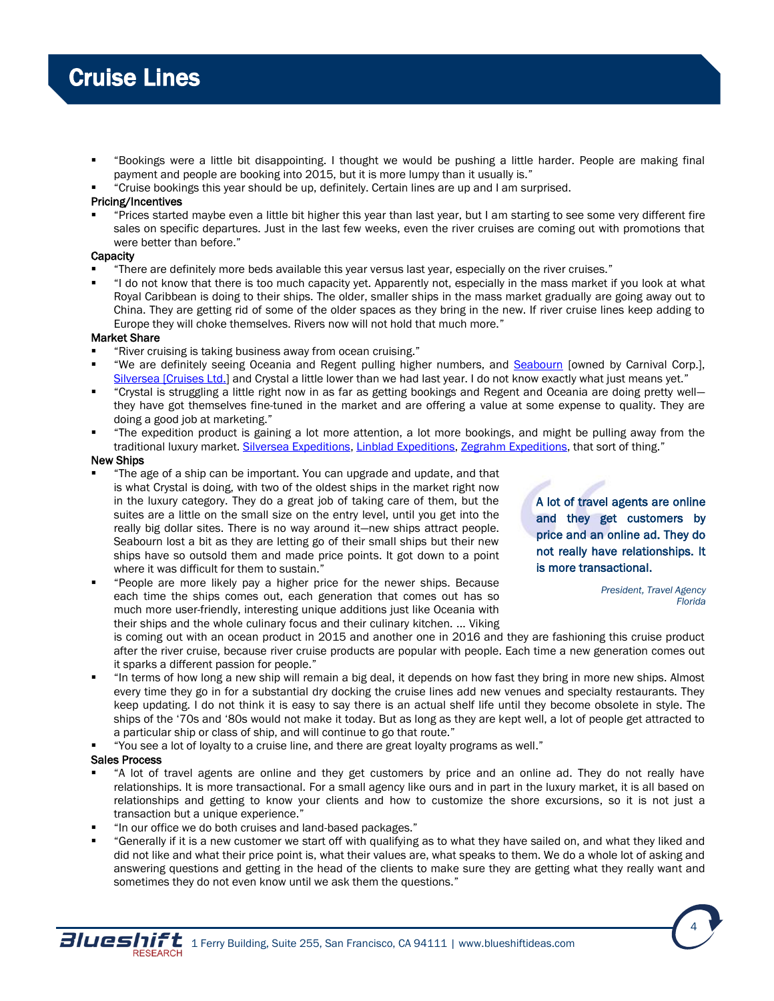- "Bookings were a little bit disappointing. I thought we would be pushing a little harder. People are making final payment and people are booking into 2015, but it is more lumpy than it usually is."
- "Cruise bookings this year should be up, definitely. Certain lines are up and I am surprised.

# Pricing/Incentives

 "Prices started maybe even a little bit higher this year than last year, but I am starting to see some very different fire sales on specific departures. Just in the last few weeks, even the river cruises are coming out with promotions that were better than before."

# **Capacity**

- "There are definitely more beds available this year versus last year, especially on the river cruises."
- "I do not know that there is too much capacity yet. Apparently not, especially in the mass market if you look at what Royal Caribbean is doing to their ships. The older, smaller ships in the mass market gradually are going away out to China. They are getting rid of some of the older spaces as they bring in the new. If river cruise lines keep adding to Europe they will choke themselves. Rivers now will not hold that much more."

### Market Share

- "River cruising is taking business away from ocean cruising."
- "We are definitely seeing Oceania and Regent pulling higher numbers, and **Seabourn** [owned by Carnival Corp.], Silversea [\[Cruises Ltd.\]](http://www.silversea.com/) and Crystal a little lower than we had last year. I do not know exactly what just means yet."
- "Crystal is struggling a little right now in as far as getting bookings and Regent and Oceania are doing pretty well they have got themselves fine-tuned in the market and are offering a value at some expense to quality. They are doing a good job at marketing."
- "The expedition product is gaining a lot more attention, a lot more bookings, and might be pulling away from the traditional luxury market. [Silversea Expeditions,](https://www.silversea.com/expeditions/) [Linblad Expeditions,](http://www.expeditions.com/) [Zegrahm Expeditions,](http://www.zegrahm.com/#axzz2ziGoEhaI) that sort of thing."

#### New Ships

- "The age of a ship can be important. You can upgrade and update, and that is what Crystal is doing, with two of the oldest ships in the market right now in the luxury category. They do a great job of taking care of them, but the suites are a little on the small size on the entry level, until you get into the really big dollar sites. There is no way around it—new ships attract people. Seabourn lost a bit as they are letting go of their small ships but their new ships have so outsold them and made price points. It got down to a point where it was difficult for them to sustain."
- "People are more likely pay a higher price for the newer ships. Because each time the ships comes out, each generation that comes out has so much more user-friendly, interesting unique additions just like Oceania with their ships and the whole culinary focus and their culinary kitchen. ... Viking

A lot of travel agents are online and they get customers by price and an online ad. They do not really have relationships. It is more transactional.

> *President, Travel Agency Florida*

is coming out with an ocean product in 2015 and another one in 2016 and they are fashioning this cruise product after the river cruise, because river cruise products are popular with people. Each time a new generation comes out it sparks a different passion for people."

- "In terms of how long a new ship will remain a big deal, it depends on how fast they bring in more new ships. Almost every time they go in for a substantial dry docking the cruise lines add new venues and specialty restaurants. They keep updating. I do not think it is easy to say there is an actual shelf life until they become obsolete in style. The ships of the '70s and '80s would not make it today. But as long as they are kept well, a lot of people get attracted to a particular ship or class of ship, and will continue to go that route."
- "You see a lot of loyalty to a cruise line, and there are great loyalty programs as well."

#### Sales Process

- "A lot of travel agents are online and they get customers by price and an online ad. They do not really have relationships. It is more transactional. For a small agency like ours and in part in the luxury market, it is all based on relationships and getting to know your clients and how to customize the shore excursions, so it is not just a transaction but a unique experience."
- "In our office we do both cruises and land-based packages."
- "Generally if it is a new customer we start off with qualifying as to what they have sailed on, and what they liked and did not like and what their price point is, what their values are, what speaks to them. We do a whole lot of asking and answering questions and getting in the head of the clients to make sure they are getting what they really want and sometimes they do not even know until we ask them the questions."



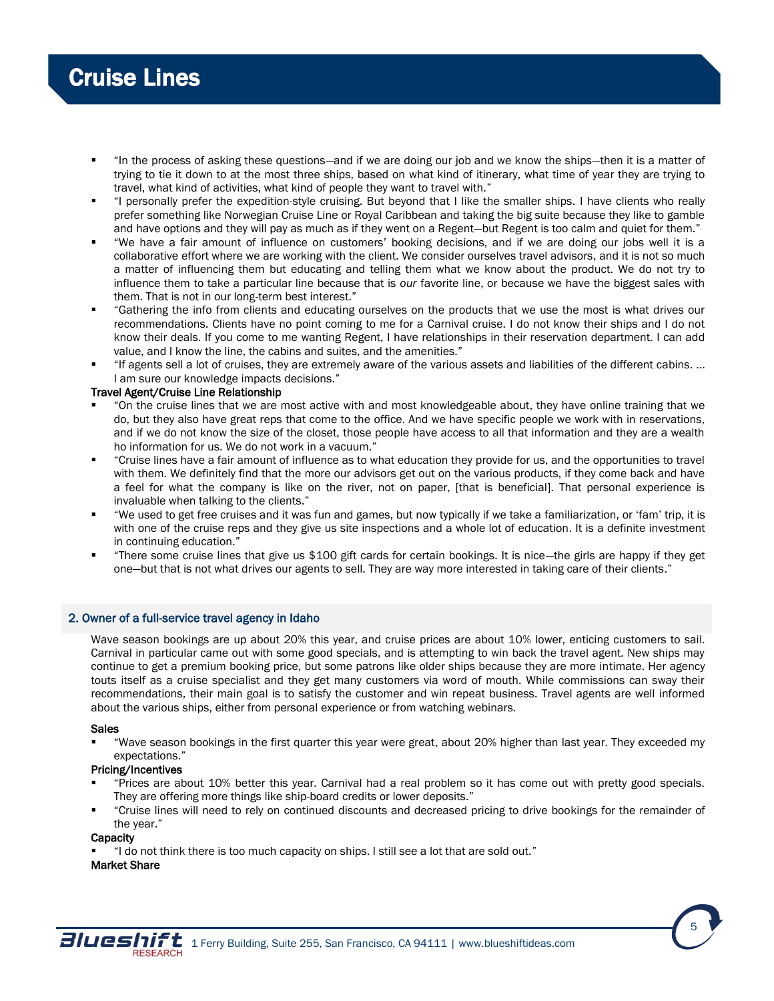- "In the process of asking these questions—and if we are doing our job and we know the ships—then it is a matter of trying to tie it down to at the most three ships, based on what kind of itinerary, what time of year they are trying to travel, what kind of activities, what kind of people they want to travel with."
- "I personally prefer the expedition-style cruising. But beyond that I like the smaller ships. I have clients who really prefer something like Norwegian Cruise Line or Royal Caribbean and taking the big suite because they like to gamble and have options and they will pay as much as if they went on a Regent-but Regent is too calm and quiet for them."
- "We have a fair amount of influence on customers' booking decisions, and if we are doing our jobs well it is a collaborative effort where we are working with the client. We consider ourselves travel advisors, and it is not so much a matter of influencing them but educating and telling them what we know about the product. We do not try to influence them to take a particular line because that is *our* favorite line, or because we have the biggest sales with them. That is not in our long-term best interest."
- "Gathering the info from clients and educating ourselves on the products that we use the most is what drives our recommendations. Clients have no point coming to me for a Carnival cruise. I do not know their ships and I do not know their deals. If you come to me wanting Regent, I have relationships in their reservation department. I can add value, and I know the line, the cabins and suites, and the amenities."
- "If agents sell a lot of cruises, they are extremely aware of the various assets and liabilities of the different cabins. ... I am sure our knowledge impacts decisions."

# Travel Agent/Cruise Line Relationship

- "On the cruise lines that we are most active with and most knowledgeable about, they have online training that we do, but they also have great reps that come to the office. And we have specific people we work with in reservations, and if we do not know the size of the closet, those people have access to all that information and they are a wealth ho information for us. We do not work in a vacuum."
- "Cruise lines have a fair amount of influence as to what education they provide for us, and the opportunities to travel with them. We definitely find that the more our advisors get out on the various products, if they come back and have a feel for what the company is like on the river, not on paper, [that is beneficial]. That personal experience is invaluable when talking to the clients."
- "We used to get free cruises and it was fun and games, but now typically if we take a familiarization, or 'fam' trip, it is with one of the cruise reps and they give us site inspections and a whole lot of education. It is a definite investment in continuing education."
- "There some cruise lines that give us \$100 gift cards for certain bookings. It is nice—the girls are happy if they get one—but that is not what drives our agents to sell. They are way more interested in taking care of their clients."

# 2. Owner of a full-service travel agency in Idaho

Wave season bookings are up about 20% this year, and cruise prices are about 10% lower, enticing customers to sail. Carnival in particular came out with some good specials, and is attempting to win back the travel agent. New ships may continue to get a premium booking price, but some patrons like older ships because they are more intimate. Her agency touts itself as a cruise specialist and they get many customers via word of mouth. While commissions can sway their recommendations, their main goal is to satisfy the customer and win repeat business. Travel agents are well informed about the various ships, either from personal experience or from watching webinars.

#### **Sales**

 "Wave season bookings in the first quarter this year were great, about 20% higher than last year. They exceeded my expectations."

# Pricing/Incentives

- "Prices are about 10% better this year. Carnival had a real problem so it has come out with pretty good specials. They are offering more things like ship-board credits or lower deposits."
- "Cruise lines will need to rely on continued discounts and decreased pricing to drive bookings for the remainder of the year."

### **Capacity**

"I do not think there is too much capacity on ships. I still see a lot that are sold out."

# Market Share

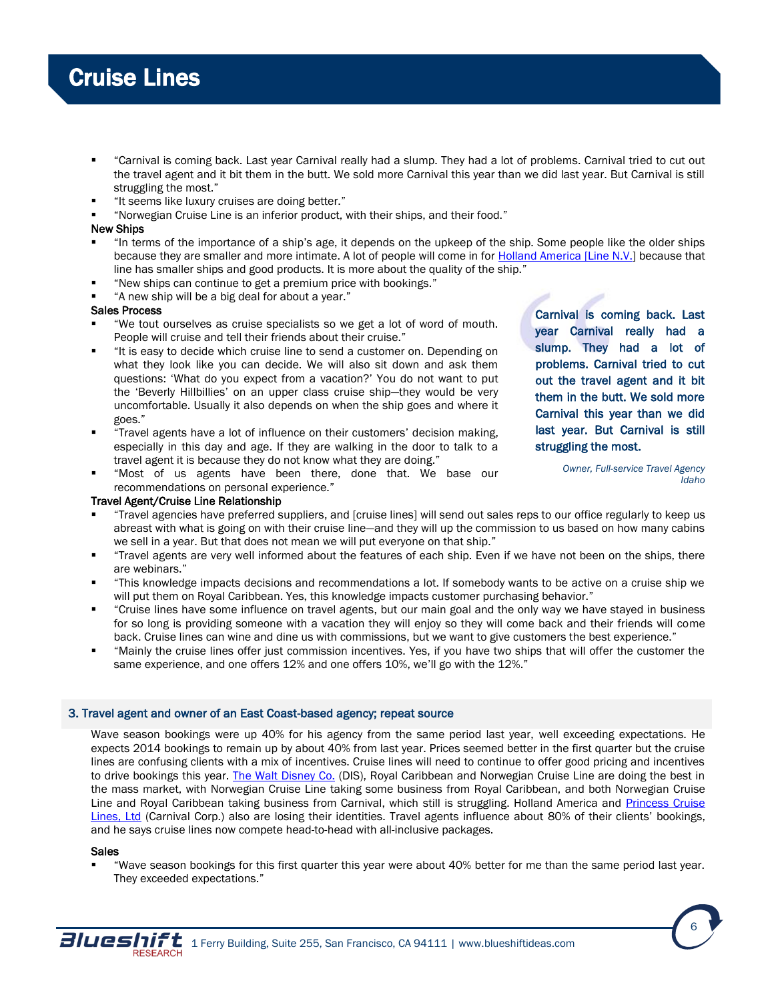- "Carnival is coming back. Last year Carnival really had a slump. They had a lot of problems. Carnival tried to cut out the travel agent and it bit them in the butt. We sold more Carnival this year than we did last year. But Carnival is still struggling the most."
- "It seems like luxury cruises are doing better."
- "Norwegian Cruise Line is an inferior product, with their ships, and their food."

### New Ships

- "In terms of the importance of a ship's age, it depends on the upkeep of the ship. Some people like the older ships because they are smaller and more intimate. A lot of people will come in for **Holland America [Line N.V.]** because that line has smaller ships and good products. It is more about the quality of the ship."
- "New ships can continue to get a premium price with bookings."
- "A new ship will be a big deal for about a year."

### Sales Process

- "We tout ourselves as cruise specialists so we get a lot of word of mouth. People will cruise and tell their friends about their cruise."
- "It is easy to decide which cruise line to send a customer on. Depending on what they look like you can decide. We will also sit down and ask them questions: 'What do you expect from a vacation?' You do not want to put the 'Beverly Hillbillies' on an upper class cruise ship—they would be very uncomfortable. Usually it also depends on when the ship goes and where it goes."
- "Travel agents have a lot of influence on their customers' decision making, especially in this day and age. If they are walking in the door to talk to a travel agent it is because they do not know what they are doing."
- "Most of us agents have been there, done that. We base our recommendations on personal experience."

#### Travel Agent/Cruise Line Relationship

- "Travel agencies have preferred suppliers, and [cruise lines] will send out sales reps to our office regularly to keep us abreast with what is going on with their cruise line—and they will up the commission to us based on how many cabins we sell in a year. But that does not mean we will put everyone on that ship."
- "Travel agents are very well informed about the features of each ship. Even if we have not been on the ships, there are webinars."
- "This knowledge impacts decisions and recommendations a lot. If somebody wants to be active on a cruise ship we will put them on Royal Caribbean. Yes, this knowledge impacts customer purchasing behavior."
- "Cruise lines have some influence on travel agents, but our main goal and the only way we have stayed in business for so long is providing someone with a vacation they will enjoy so they will come back and their friends will come back. Cruise lines can wine and dine us with commissions, but we want to give customers the best experience."
- "Mainly the cruise lines offer just commission incentives. Yes, if you have two ships that will offer the customer the same experience, and one offers 12% and one offers 10%, we'll go with the 12%."

# 3. Travel agent and owner of an East Coast-based agency; repeat source

Wave season bookings were up 40% for his agency from the same period last year, well exceeding expectations. He expects 2014 bookings to remain up by about 40% from last year. Prices seemed better in the first quarter but the cruise lines are confusing clients with a mix of incentives. Cruise lines will need to continue to offer good pricing and incentives to drive bookings this year. [The Walt Disney Co.](http://disneycruise.disney.go.com/) (DIS), Royal Caribbean and Norwegian Cruise Line are doing the best in the mass market, with Norwegian Cruise Line taking some business from Royal Caribbean, and both Norwegian Cruise Line and Royal Caribbean taking business from Carnival, which still is struggling. Holland America and [Princess Cruise](http://www.princess.com/)  [Lines, Ltd](http://www.princess.com/) (Carnival Corp.) also are losing their identities. Travel agents influence about 80% of their clients' bookings, and he says cruise lines now compete head-to-head with all-inclusive packages.

#### **Sales**

 "Wave season bookings for this first quarter this year were about 40% better for me than the same period last year. They exceeded expectations."



Carnival is coming back. Last year Carnival really had a slump. They had a lot of problems. Carnival tried to cut out the travel agent and it bit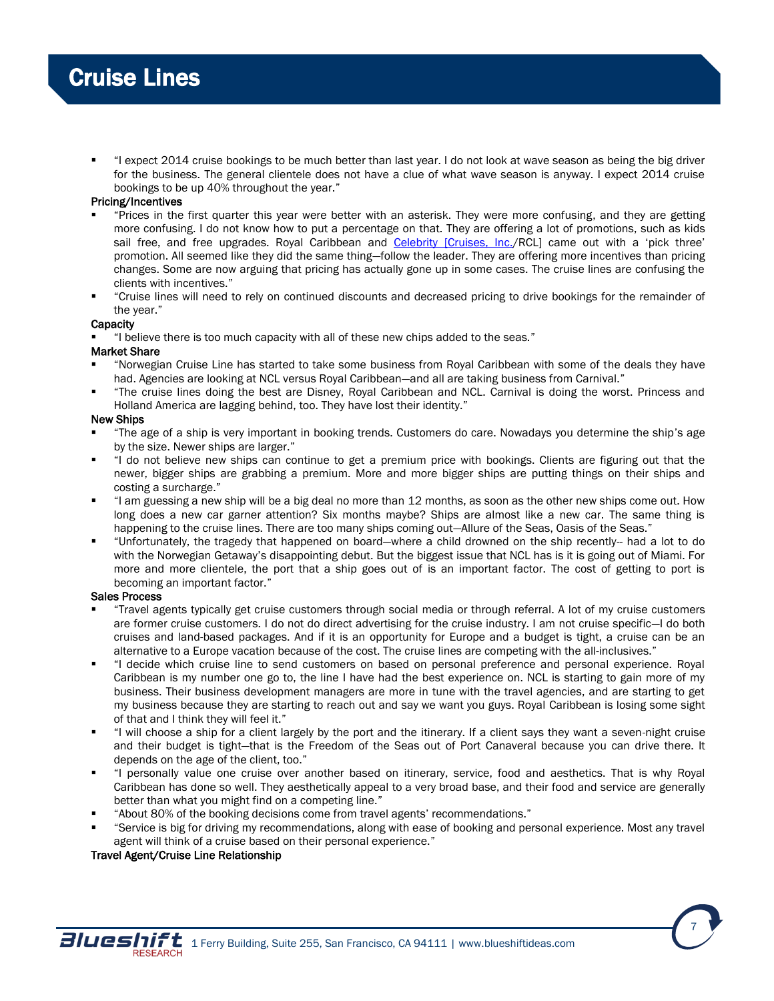"I expect 2014 cruise bookings to be much better than last year. I do not look at wave season as being the big driver for the business. The general clientele does not have a clue of what wave season is anyway. I expect 2014 cruise bookings to be up 40% throughout the year."

# Pricing/Incentives

- "Prices in the first quarter this year were better with an asterisk. They were more confusing, and they are getting more confusing. I do not know how to put a percentage on that. They are offering a lot of promotions, such as kids sail free, and free upgrades. Royal Caribbean and [Celebrity \[Cruises, Inc./](http://www.celebritycruises.com/home)RCL] came out with a 'pick three' promotion. All seemed like they did the same thing—follow the leader. They are offering more incentives than pricing changes. Some are now arguing that pricing has actually gone up in some cases. The cruise lines are confusing the clients with incentives."
- "Cruise lines will need to rely on continued discounts and decreased pricing to drive bookings for the remainder of the year."

### **Capacity**

"I believe there is too much capacity with all of these new chips added to the seas."

### Market Share

- "Norwegian Cruise Line has started to take some business from Royal Caribbean with some of the deals they have had. Agencies are looking at NCL versus Royal Caribbean—and all are taking business from Carnival."
- "The cruise lines doing the best are Disney, Royal Caribbean and NCL. Carnival is doing the worst. Princess and Holland America are lagging behind, too. They have lost their identity."

### New Ships

- "The age of a ship is very important in booking trends. Customers do care. Nowadays you determine the ship's age by the size. Newer ships are larger."
- "I do not believe new ships can continue to get a premium price with bookings. Clients are figuring out that the newer, bigger ships are grabbing a premium. More and more bigger ships are putting things on their ships and costing a surcharge."
- "I am guessing a new ship will be a big deal no more than 12 months, as soon as the other new ships come out. How long does a new car garner attention? Six months maybe? Ships are almost like a new car. The same thing is happening to the cruise lines. There are too many ships coming out-Allure of the Seas, Oasis of the Seas."
- "Unfortunately, the tragedy that happened on board—where a child drowned on the ship recently-- had a lot to do with the Norwegian Getaway's disappointing debut. But the biggest issue that NCL has is it is going out of Miami. For more and more clientele, the port that a ship goes out of is an important factor. The cost of getting to port is becoming an important factor."

# Sales Process

- "Travel agents typically get cruise customers through social media or through referral. A lot of my cruise customers are former cruise customers. I do not do direct advertising for the cruise industry. I am not cruise specific—I do both cruises and land-based packages. And if it is an opportunity for Europe and a budget is tight, a cruise can be an alternative to a Europe vacation because of the cost. The cruise lines are competing with the all-inclusives."
- "I decide which cruise line to send customers on based on personal preference and personal experience. Royal Caribbean is my number one go to, the line I have had the best experience on. NCL is starting to gain more of my business. Their business development managers are more in tune with the travel agencies, and are starting to get my business because they are starting to reach out and say we want you guys. Royal Caribbean is losing some sight of that and I think they will feel it."
- "I will choose a ship for a client largely by the port and the itinerary. If a client says they want a seven-night cruise and their budget is tight—that is the Freedom of the Seas out of Port Canaveral because you can drive there. It depends on the age of the client, too."
- "I personally value one cruise over another based on itinerary, service, food and aesthetics. That is why Royal Caribbean has done so well. They aesthetically appeal to a very broad base, and their food and service are generally better than what you might find on a competing line."
- "About 80% of the booking decisions come from travel agents' recommendations."
- "Service is big for driving my recommendations, along with ease of booking and personal experience. Most any travel agent will think of a cruise based on their personal experience."

# Travel Agent/Cruise Line Relationship

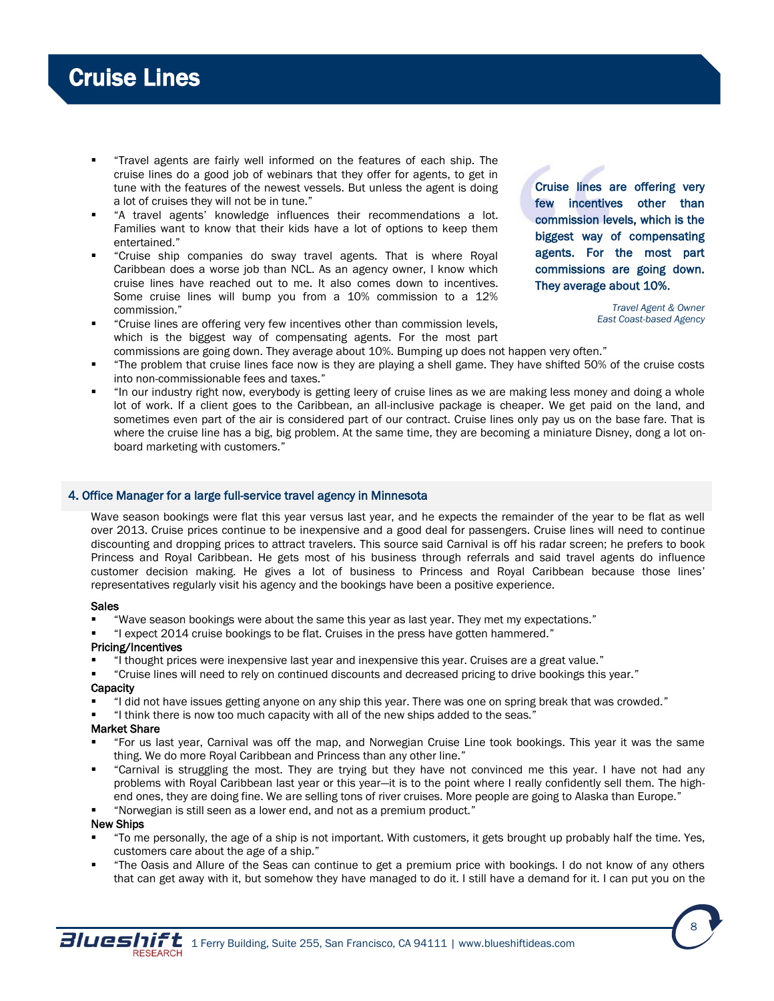- "Travel agents are fairly well informed on the features of each ship. The cruise lines do a good job of webinars that they offer for agents, to get in tune with the features of the newest vessels. But unless the agent is doing a lot of cruises they will not be in tune."
- "A travel agents' knowledge influences their recommendations a lot. Families want to know that their kids have a lot of options to keep them entertained."
- "Cruise ship companies do sway travel agents. That is where Royal Caribbean does a worse job than NCL. As an agency owner, I know which cruise lines have reached out to me. It also comes down to incentives. Some cruise lines will bump you from a 10% commission to a 12% commission."
- "Cruise lines are offering very few incentives other than commission levels, which is the biggest way of compensating agents. For the most part

Cruise lines are offering very few incentives other than commission levels, which is the biggest way of compensating agents. For the most part commissions are going down. They average about 10%.

> *Travel Agent & Owner East Coast-based Agency*

- commissions are going down. They average about 10%. Bumping up does not happen very often." "The problem that cruise lines face now is they are playing a shell game. They have shifted 50% of the cruise costs into non-commissionable fees and taxes."
- "In our industry right now, everybody is getting leery of cruise lines as we are making less money and doing a whole lot of work. If a client goes to the Caribbean, an all-inclusive package is cheaper. We get paid on the land, and sometimes even part of the air is considered part of our contract. Cruise lines only pay us on the base fare. That is where the cruise line has a big, big problem. At the same time, they are becoming a miniature Disney, dong a lot onboard marketing with customers."

# 4. Office Manager for a large full-service travel agency in Minnesota

Wave season bookings were flat this year versus last year, and he expects the remainder of the year to be flat as well over 2013. Cruise prices continue to be inexpensive and a good deal for passengers. Cruise lines will need to continue discounting and dropping prices to attract travelers. This source said Carnival is off his radar screen; he prefers to book Princess and Royal Caribbean. He gets most of his business through referrals and said travel agents do influence customer decision making. He gives a lot of business to Princess and Royal Caribbean because those lines' representatives regularly visit his agency and the bookings have been a positive experience.

# Sales

- "Wave season bookings were about the same this year as last year. They met my expectations."
- "I expect 2014 cruise bookings to be flat. Cruises in the press have gotten hammered."

# Pricing/Incentives

- "I thought prices were inexpensive last year and inexpensive this year. Cruises are a great value."
- "Cruise lines will need to rely on continued discounts and decreased pricing to drive bookings this year."

# **Capacity**

- "I did not have issues getting anyone on any ship this year. There was one on spring break that was crowded."
- "I think there is now too much capacity with all of the new ships added to the seas."

# Market Share

- "For us last year, Carnival was off the map, and Norwegian Cruise Line took bookings. This year it was the same thing. We do more Royal Caribbean and Princess than any other line."
- "Carnival is struggling the most. They are trying but they have not convinced me this year. I have not had any problems with Royal Caribbean last year or this year—it is to the point where I really confidently sell them. The highend ones, they are doing fine. We are selling tons of river cruises. More people are going to Alaska than Europe."
- "Norwegian is still seen as a lower end, and not as a premium product."

# New Ships

- "To me personally, the age of a ship is not important. With customers, it gets brought up probably half the time. Yes, customers care about the age of a ship."
- "The Oasis and Allure of the Seas can continue to get a premium price with bookings. I do not know of any others that can get away with it, but somehow they have managed to do it. I still have a demand for it. I can put you on the



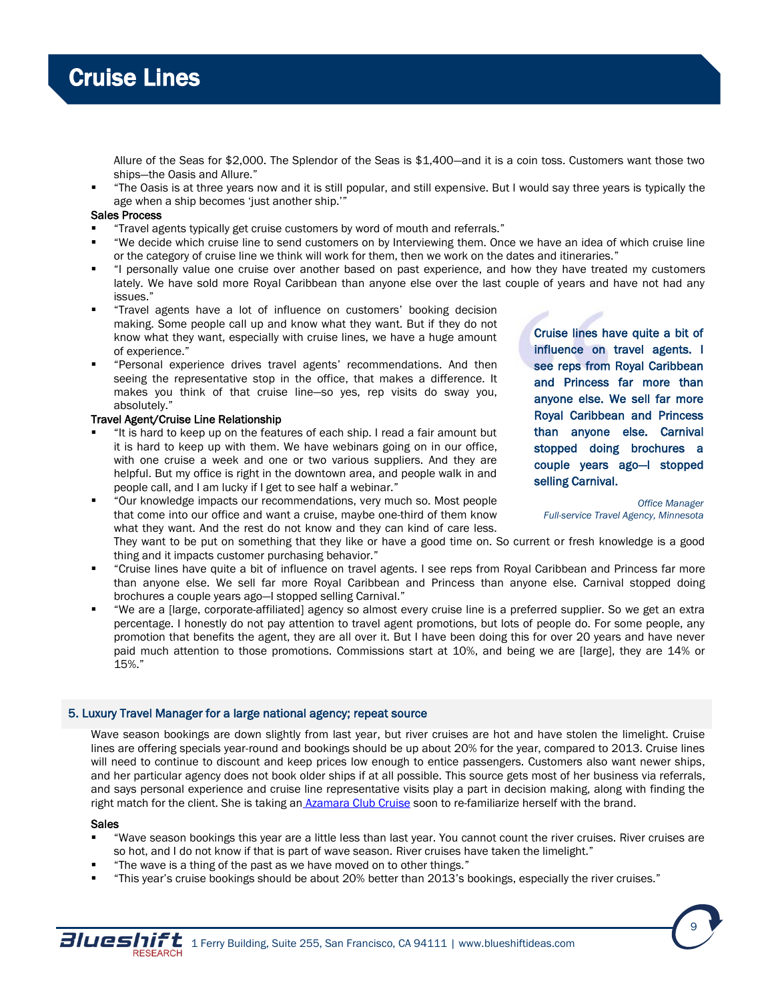

Allure of the Seas for \$2,000. The Splendor of the Seas is \$1,400—and it is a coin toss. Customers want those two ships—the Oasis and Allure."

 "The Oasis is at three years now and it is still popular, and still expensive. But I would say three years is typically the age when a ship becomes 'just another ship.'"

#### Sales Process

- "Travel agents typically get cruise customers by word of mouth and referrals."
- "We decide which cruise line to send customers on by Interviewing them. Once we have an idea of which cruise line or the category of cruise line we think will work for them, then we work on the dates and itineraries."
- "I personally value one cruise over another based on past experience, and how they have treated my customers lately. We have sold more Royal Caribbean than anyone else over the last couple of years and have not had any issues."
- "Travel agents have a lot of influence on customers' booking decision making. Some people call up and know what they want. But if they do not know what they want, especially with cruise lines, we have a huge amount of experience."
- "Personal experience drives travel agents' recommendations. And then seeing the representative stop in the office, that makes a difference. It makes you think of that cruise line—so yes, rep visits do sway you, absolutely."

# Travel Agent/Cruise Line Relationship

- "It is hard to keep up on the features of each ship. I read a fair amount but it is hard to keep up with them. We have webinars going on in our office, with one cruise a week and one or two various suppliers. And they are helpful. But my office is right in the downtown area, and people walk in and people call, and I am lucky if I get to see half a webinar."
- "Our knowledge impacts our recommendations, very much so. Most people that come into our office and want a cruise, maybe one-third of them know what they want. And the rest do not know and they can kind of care less.

They want to be put on something that they like or have a good time on. So current or fresh knowledge is a good thing and it impacts customer purchasing behavior."

- "Cruise lines have quite a bit of influence on travel agents. I see reps from Royal Caribbean and Princess far more than anyone else. We sell far more Royal Caribbean and Princess than anyone else. Carnival stopped doing brochures a couple years ago—I stopped selling Carnival."
- "We are a [large, corporate-affiliated] agency so almost every cruise line is a preferred supplier. So we get an extra percentage. I honestly do not pay attention to travel agent promotions, but lots of people do. For some people, any promotion that benefits the agent, they are all over it. But I have been doing this for over 20 years and have never paid much attention to those promotions. Commissions start at 10%, and being we are [large], they are 14% or 15%."

#### 5. Luxury Travel Manager for a large national agency; repeat source

Wave season bookings are down slightly from last year, but river cruises are hot and have stolen the limelight. Cruise lines are offering specials year-round and bookings should be up about 20% for the year, compared to 2013. Cruise lines will need to continue to discount and keep prices low enough to entice passengers. Customers also want newer ships, and her particular agency does not book older ships if at all possible. This source gets most of her business via referrals, and says personal experience and cruise line representative visits play a part in decision making, along with finding the right match for the client. She is taking an [Azamara Club Cruise](http://www.azamaraclubcruises.com/) soon to re-familiarize herself with the brand.

#### Sales

- "Wave season bookings this year are a little less than last year. You cannot count the river cruises. River cruises are so hot, and I do not know if that is part of wave season. River cruises have taken the limelight."
- "The wave is a thing of the past as we have moved on to other things."
- "This year's cruise bookings should be about 20% better than 2013's bookings, especially the river cruises."



*Office Manager Full-service Travel Agency, Minnesota*

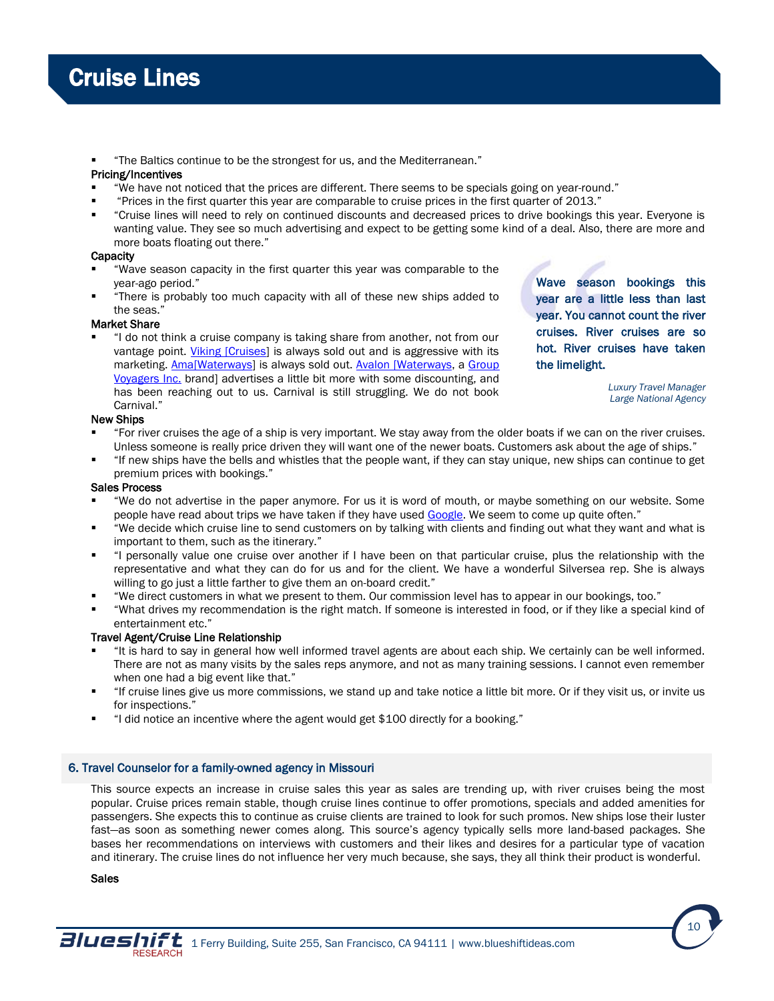"The Baltics continue to be the strongest for us, and the Mediterranean."

# Pricing/Incentives

- "We have not noticed that the prices are different. There seems to be specials going on year-round."
- "Prices in the first quarter this year are comparable to cruise prices in the first quarter of 2013."
- "Cruise lines will need to rely on continued discounts and decreased prices to drive bookings this year. Everyone is wanting value. They see so much advertising and expect to be getting some kind of a deal. Also, there are more and more boats floating out there."

# **Capacity**

- "Wave season capacity in the first quarter this year was comparable to the year-ago period."
- "There is probably too much capacity with all of these new ships added to the seas."

# Market Share

 "I do not think a cruise company is taking share from another, not from our vantage point. Viking [\[Cruises\]](http://www.vikingcruises.com/) is always sold out and is aggressive with its marketing. [Ama\[Waterways\]](http://www.amawaterways.com/) is always sold out. Avalon [\[Waterways,](http://www.avalonwaterways.com/) a Group [Voyagers Inc.](http://www.groupvoyagers.com/) brand] advertises a little bit more with some discounting, and has been reaching out to us. Carnival is still struggling. We do not book Carnival."

Wave season bookings this year are a little less than last year. You cannot count the river cruises. River cruises are so hot. River cruises have taken the limelight.

> *Luxury Travel Manager Large National Agency*

# New Ships

- "For river cruises the age of a ship is very important. We stay away from the older boats if we can on the river cruises. Unless someone is really price driven they will want one of the newer boats. Customers ask about the age of ships."
- "If new ships have the bells and whistles that the people want, if they can stay unique, new ships can continue to get premium prices with bookings."

# Sales Process

- "We do not advertise in the paper anymore. For us it is word of mouth, or maybe something on our website. Some people have read about trips we have taken if they have used [Google.](http://www.google.com/) We seem to come up quite often."
- "We decide which cruise line to send customers on by talking with clients and finding out what they want and what is important to them, such as the itinerary."
- "I personally value one cruise over another if I have been on that particular cruise, plus the relationship with the representative and what they can do for us and for the client. We have a wonderful Silversea rep. She is always willing to go just a little farther to give them an on-board credit."
- "We direct customers in what we present to them. Our commission level has to appear in our bookings, too."
- "What drives my recommendation is the right match. If someone is interested in food, or if they like a special kind of entertainment etc."

# Travel Agent/Cruise Line Relationship

- "It is hard to say in general how well informed travel agents are about each ship. We certainly can be well informed. There are not as many visits by the sales reps anymore, and not as many training sessions. I cannot even remember when one had a big event like that."
- "If cruise lines give us more commissions, we stand up and take notice a little bit more. Or if they visit us, or invite us for inspections."
- "I did notice an incentive where the agent would get \$100 directly for a booking."

# 6. Travel Counselor for a family-owned agency in Missouri

This source expects an increase in cruise sales this year as sales are trending up, with river cruises being the most popular. Cruise prices remain stable, though cruise lines continue to offer promotions, specials and added amenities for passengers. She expects this to continue as cruise clients are trained to look for such promos. New ships lose their luster fast—as soon as something newer comes along. This source's agency typically sells more land-based packages. She bases her recommendations on interviews with customers and their likes and desires for a particular type of vacation and itinerary. The cruise lines do not influence her very much because, she says, they all think their product is wonderful.

Sales



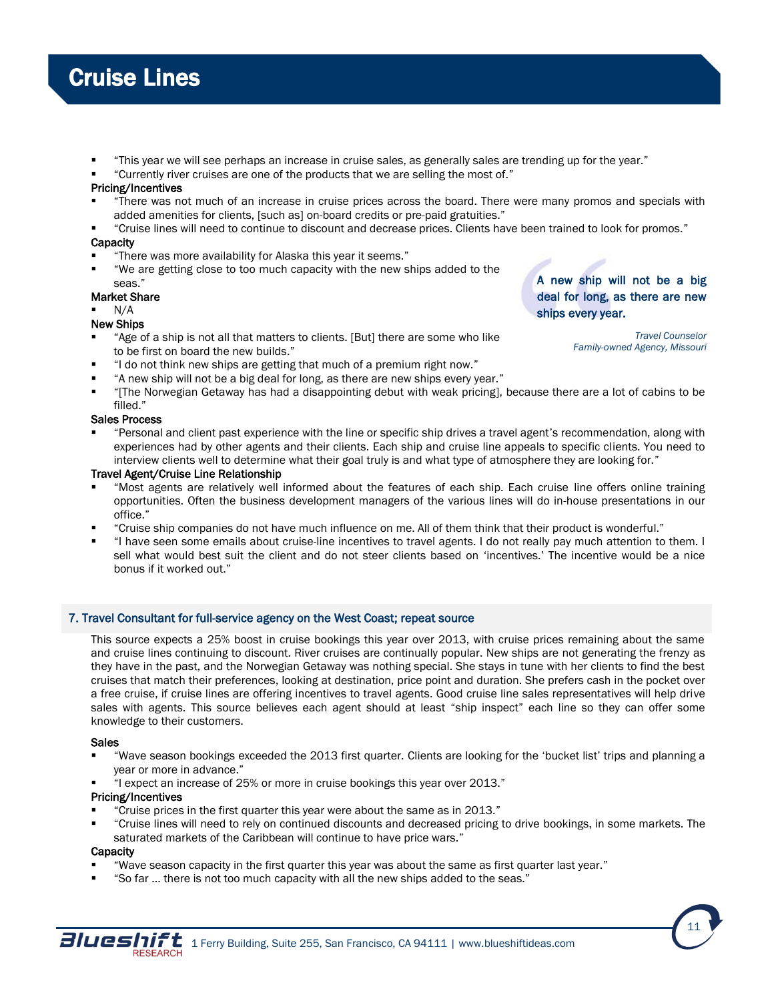- "This year we will see perhaps an increase in cruise sales, as generally sales are trending up for the year."
- "Currently river cruises are one of the products that we are selling the most of."

## Pricing/Incentives

- "There was not much of an increase in cruise prices across the board. There were many promos and specials with added amenities for clients, [such as] on-board credits or pre-paid gratuities."
- "Cruise lines will need to continue to discount and decrease prices. Clients have been trained to look for promos."

# **Capacity**

- "There was more availability for Alaska this year it seems."
- "We are getting close to too much capacity with the new ships added to the seas."

# Market Share

N/A

# New Ships

- "Age of a ship is not all that matters to clients. [But] there are some who like to be first on board the new builds."
- "I do not think new ships are getting that much of a premium right now."
- "A new ship will not be a big deal for long, as there are new ships every year."
- "[The Norwegian Getaway has had a disappointing debut with weak pricing], because there are a lot of cabins to be filled."

# Sales Process

 "Personal and client past experience with the line or specific ship drives a travel agent's recommendation, along with experiences had by other agents and their clients. Each ship and cruise line appeals to specific clients. You need to interview clients well to determine what their goal truly is and what type of atmosphere they are looking for."

# Travel Agent/Cruise Line Relationship

- "Most agents are relatively well informed about the features of each ship. Each cruise line offers online training opportunities. Often the business development managers of the various lines will do in-house presentations in our office."
- "Cruise ship companies do not have much influence on me. All of them think that their product is wonderful."
- "I have seen some emails about cruise-line incentives to travel agents. I do not really pay much attention to them. I sell what would best suit the client and do not steer clients based on 'incentives.' The incentive would be a nice bonus if it worked out."

# 7. Travel Consultant for full-service agency on the West Coast; repeat source

This source expects a 25% boost in cruise bookings this year over 2013, with cruise prices remaining about the same and cruise lines continuing to discount. River cruises are continually popular. New ships are not generating the frenzy as they have in the past, and the Norwegian Getaway was nothing special. She stays in tune with her clients to find the best cruises that match their preferences, looking at destination, price point and duration. She prefers cash in the pocket over a free cruise, if cruise lines are offering incentives to travel agents. Good cruise line sales representatives will help drive sales with agents. This source believes each agent should at least "ship inspect" each line so they can offer some knowledge to their customers.

# Sales

- "Wave season bookings exceeded the 2013 first quarter. Clients are looking for the 'bucket list' trips and planning a year or more in advance."
- "I expect an increase of 25% or more in cruise bookings this year over 2013."

# Pricing/Incentives

- "Cruise prices in the first quarter this year were about the same as in 2013."
- "Cruise lines will need to rely on continued discounts and decreased pricing to drive bookings, in some markets. The saturated markets of the Caribbean will continue to have price wars."

# **Capacity**

- "Wave season capacity in the first quarter this year was about the same as first quarter last year."
- "So far ... there is not too much capacity with all the new ships added to the seas."



# A new ship will not be a big deal for long, as there are new ships every year.

*Travel Counselor Family-owned Agency, Missouri*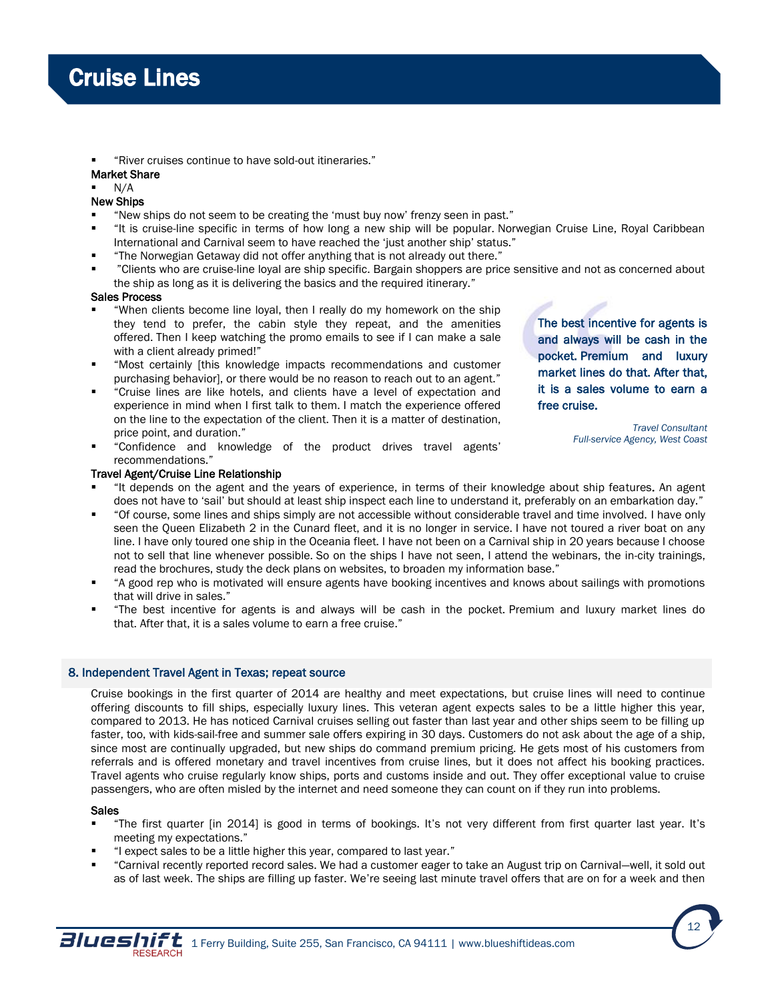"River cruises continue to have sold-out itineraries."

# Market Share

N/A

# New Ships

- "New ships do not seem to be creating the 'must buy now' frenzy seen in past."
- "It is cruise-line specific in terms of how long a new ship will be popular. Norwegian Cruise Line, Royal Caribbean International and Carnival seem to have reached the 'just another ship' status."
- "The Norwegian Getaway did not offer anything that is not already out there."
- "Clients who are cruise-line loyal are ship specific. Bargain shoppers are price sensitive and not as concerned about the ship as long as it is delivering the basics and the required itinerary."

# Sales Process

- "When clients become line loyal, then I really do my homework on the ship they tend to prefer, the cabin style they repeat, and the amenities offered. Then I keep watching the promo emails to see if I can make a sale with a client already primed!"
- "Most certainly [this knowledge impacts recommendations and customer purchasing behavior], or there would be no reason to reach out to an agent."
- "Cruise lines are like hotels, and clients have a level of expectation and experience in mind when I first talk to them. I match the experience offered on the line to the expectation of the client. Then it is a matter of destination, price point, and duration."
- "Confidence and knowledge of the product drives travel agents' recommendations."

# Travel Agent/Cruise Line Relationship

- "It depends on the agent and the years of experience, in terms of their knowledge about ship features. An agent does not have to 'sail' but should at least ship inspect each line to understand it, preferably on an embarkation day."
- "Of course, some lines and ships simply are not accessible without considerable travel and time involved. I have only seen the Queen Elizabeth 2 in the Cunard fleet, and it is no longer in service. I have not toured a river boat on any line. I have only toured one ship in the Oceania fleet. I have not been on a Carnival ship in 20 years because I choose not to sell that line whenever possible. So on the ships I have not seen, I attend the webinars, the in-city trainings, read the brochures, study the deck plans on websites, to broaden my information base."
- "A good rep who is motivated will ensure agents have booking incentives and knows about sailings with promotions that will drive in sales."
- "The best incentive for agents is and always will be cash in the pocket. Premium and luxury market lines do that. After that, it is a sales volume to earn a free cruise."

# 8. Independent Travel Agent in Texas; repeat source

Cruise bookings in the first quarter of 2014 are healthy and meet expectations, but cruise lines will need to continue offering discounts to fill ships, especially luxury lines. This veteran agent expects sales to be a little higher this year, compared to 2013. He has noticed Carnival cruises selling out faster than last year and other ships seem to be filling up faster, too, with kids-sail-free and summer sale offers expiring in 30 days. Customers do not ask about the age of a ship, since most are continually upgraded, but new ships do command premium pricing. He gets most of his customers from referrals and is offered monetary and travel incentives from cruise lines, but it does not affect his booking practices. Travel agents who cruise regularly know ships, ports and customs inside and out. They offer exceptional value to cruise passengers, who are often misled by the internet and need someone they can count on if they run into problems.

# Sales

- "The first quarter [in 2014] is good in terms of bookings. It's not very different from first quarter last year. It's meeting my expectations."
- "I expect sales to be a little higher this year, compared to last year."
- "Carnival recently reported record sales. We had a customer eager to take an August trip on Carnival—well, it sold out as of last week. The ships are filling up faster. We're seeing last minute travel offers that are on for a week and then

The best incentive for agents is and always will be cash in the pocket. Premium and luxury market lines do that. After that, it is a sales volume to earn a free cruise.

> *Travel Consultant Full-service Agency, West Coast*

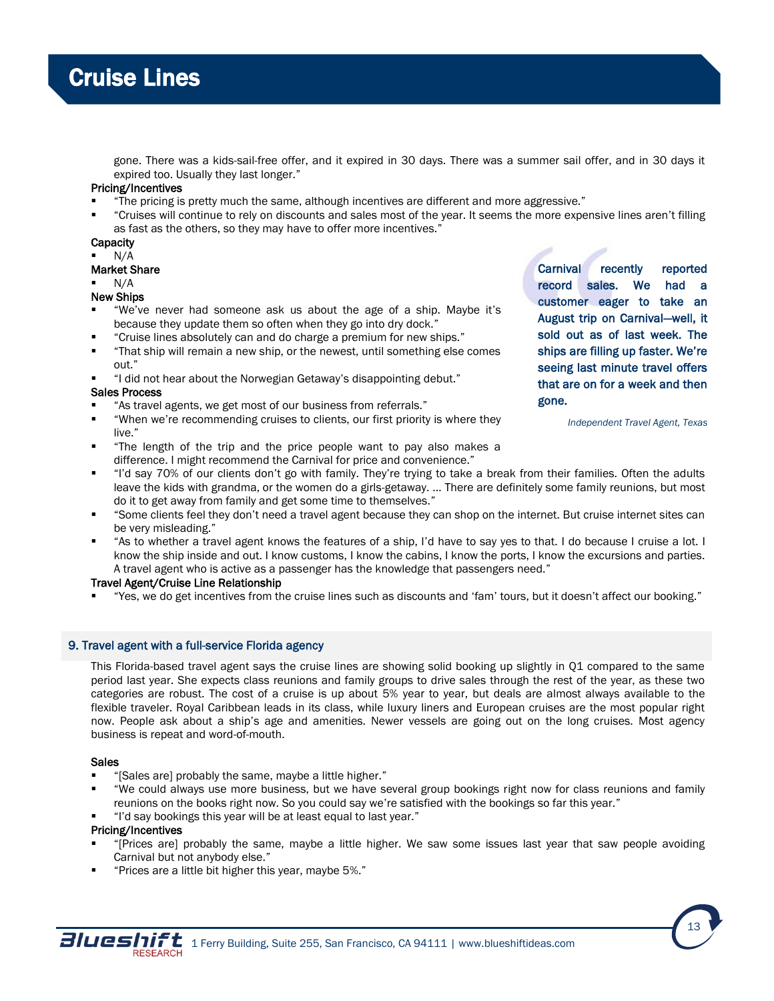

gone. There was a kids-sail-free offer, and it expired in 30 days. There was a summer sail offer, and in 30 days it expired too. Usually they last longer."

# Pricing/Incentives

- "The pricing is pretty much the same, although incentives are different and more aggressive."
- "Cruises will continue to rely on discounts and sales most of the year. It seems the more expensive lines aren't filling as fast as the others, so they may have to offer more incentives."

### **Capacity**

- N/A
- Market Share
- N/A

# New Ships

- "We've never had someone ask us about the age of a ship. Maybe it's because they update them so often when they go into dry dock."
- "Cruise lines absolutely can and do charge a premium for new ships."
- "That ship will remain a new ship, or the newest, until something else comes out."
- "I did not hear about the Norwegian Getaway's disappointing debut."

### Sales Process

- "As travel agents, we get most of our business from referrals."
- "When we're recommending cruises to clients, our first priority is where they live."
- "The length of the trip and the price people want to pay also makes a difference. I might recommend the Carnival for price and convenience."

Carnival recently reported record sales. We had a customer eager to take an August trip on Carnival—well, it sold out as of last week. The ships are filling up faster. We're seeing last minute travel offers that are on for a week and then gone.

*Independent Travel Agent, Texas*

- "I'd say 70% of our clients don't go with family. They're trying to take a break from their families. Often the adults leave the kids with grandma, or the women do a girls-getaway. … There are definitely some family reunions, but most do it to get away from family and get some time to themselves."
- "Some clients feel they don't need a travel agent because they can shop on the internet. But cruise internet sites can be very misleading."
- "As to whether a travel agent knows the features of a ship, I'd have to say yes to that. I do because I cruise a lot. I know the ship inside and out. I know customs, I know the cabins, I know the ports, I know the excursions and parties. A travel agent who is active as a passenger has the knowledge that passengers need."

# Travel Agent/Cruise Line Relationship

"Yes, we do get incentives from the cruise lines such as discounts and 'fam' tours, but it doesn't affect our booking."

# 9. Travel agent with a full-service Florida agency

This Florida-based travel agent says the cruise lines are showing solid booking up slightly in Q1 compared to the same period last year. She expects class reunions and family groups to drive sales through the rest of the year, as these two categories are robust. The cost of a cruise is up about 5% year to year, but deals are almost always available to the flexible traveler. Royal Caribbean leads in its class, while luxury liners and European cruises are the most popular right now. People ask about a ship's age and amenities. Newer vessels are going out on the long cruises. Most agency business is repeat and word-of-mouth.

# Sales

- "[Sales are] probably the same, maybe a little higher."
- "We could always use more business, but we have several group bookings right now for class reunions and family reunions on the books right now. So you could say we're satisfied with the bookings so far this year."
- "I'd say bookings this year will be at least equal to last year."

# Pricing/Incentives

- "[Prices are] probably the same, maybe a little higher. We saw some issues last year that saw people avoiding Carnival but not anybody else."
- "Prices are a little bit higher this year, maybe 5%."

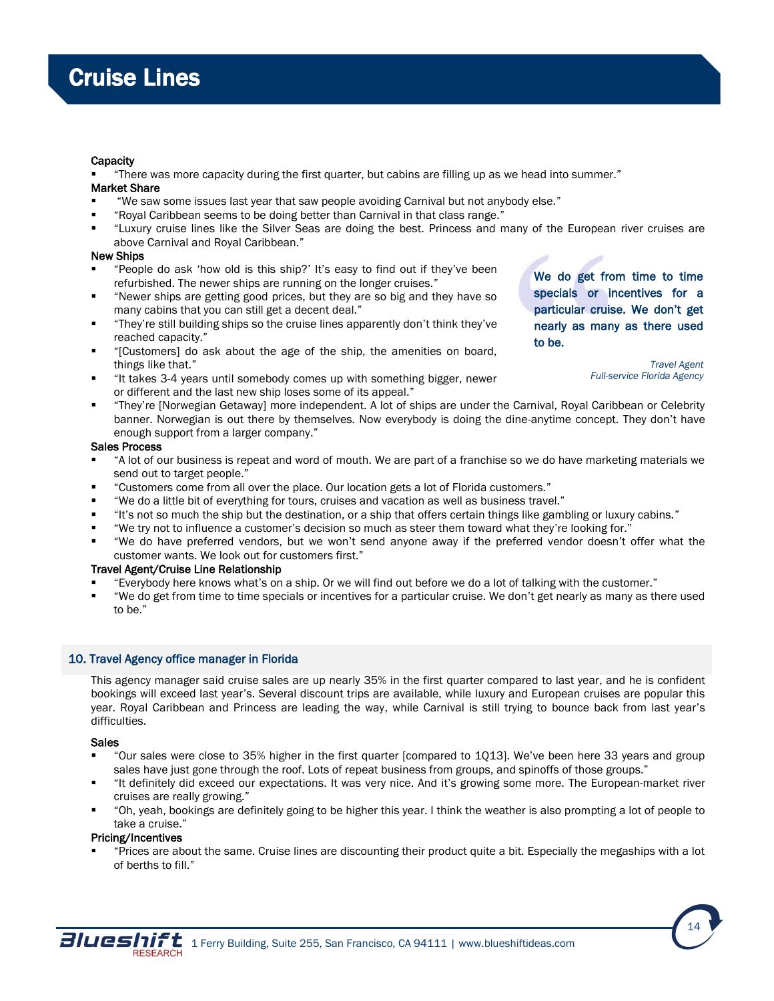## **Capacity**

"There was more capacity during the first quarter, but cabins are filling up as we head into summer."

# Market Share

- "We saw some issues last year that saw people avoiding Carnival but not anybody else."
- "Royal Caribbean seems to be doing better than Carnival in that class range."
- "Luxury cruise lines like the Silver Seas are doing the best. Princess and many of the European river cruises are above Carnival and Royal Caribbean."

## New Ships

- "People do ask 'how old is this ship?' It's easy to find out if they've been refurbished. The newer ships are running on the longer cruises."
- "Newer ships are getting good prices, but they are so big and they have so many cabins that you can still get a decent deal."
- "They're still building ships so the cruise lines apparently don't think they've reached capacity."
- "[Customers] do ask about the age of the ship, the amenities on board, things like that."
- "It takes 3-4 years until somebody comes up with something bigger, newer or different and the last new ship loses some of its appeal."
- "They're [Norwegian Getaway] more independent. A lot of ships are under the Carnival, Royal Caribbean or Celebrity banner. Norwegian is out there by themselves. Now everybody is doing the dine-anytime concept. They don't have enough support from a larger company."

### Sales Process

- "A lot of our business is repeat and word of mouth. We are part of a franchise so we do have marketing materials we send out to target people."
- "Customers come from all over the place. Our location gets a lot of Florida customers."
- "We do a little bit of everything for tours, cruises and vacation as well as business travel."
- "It's not so much the ship but the destination, or a ship that offers certain things like gambling or luxury cabins."
- "We try not to influence a customer's decision so much as steer them toward what they're looking for."
- "We do have preferred vendors, but we won't send anyone away if the preferred vendor doesn't offer what the customer wants. We look out for customers first."

# Travel Agent/Cruise Line Relationship

- "Everybody here knows what's on a ship. Or we will find out before we do a lot of talking with the customer."
- "We do get from time to time specials or incentives for a particular cruise. We don't get nearly as many as there used to be."

# 10. Travel Agency office manager in Florida

This agency manager said cruise sales are up nearly 35% in the first quarter compared to last year, and he is confident bookings will exceed last year's. Several discount trips are available, while luxury and European cruises are popular this year. Royal Caribbean and Princess are leading the way, while Carnival is still trying to bounce back from last year's difficulties.

# Sales

- "Our sales were close to 35% higher in the first quarter [compared to 1Q13]. We've been here 33 years and group sales have just gone through the roof. Lots of repeat business from groups, and spinoffs of those groups."
- "It definitely did exceed our expectations. It was very nice. And it's growing some more. The European-market river cruises are really growing."
- "Oh, yeah, bookings are definitely going to be higher this year. I think the weather is also prompting a lot of people to take a cruise."

#### Pricing/Incentives

 "Prices are about the same. Cruise lines are discounting their product quite a bit. Especially the megaships with a lot of berths to fill."



We do get from time to time specials or incentives for a particular cruise. We don't get nearly as many as there used to be.

*Travel Agent*

*Full-service Florida Agency*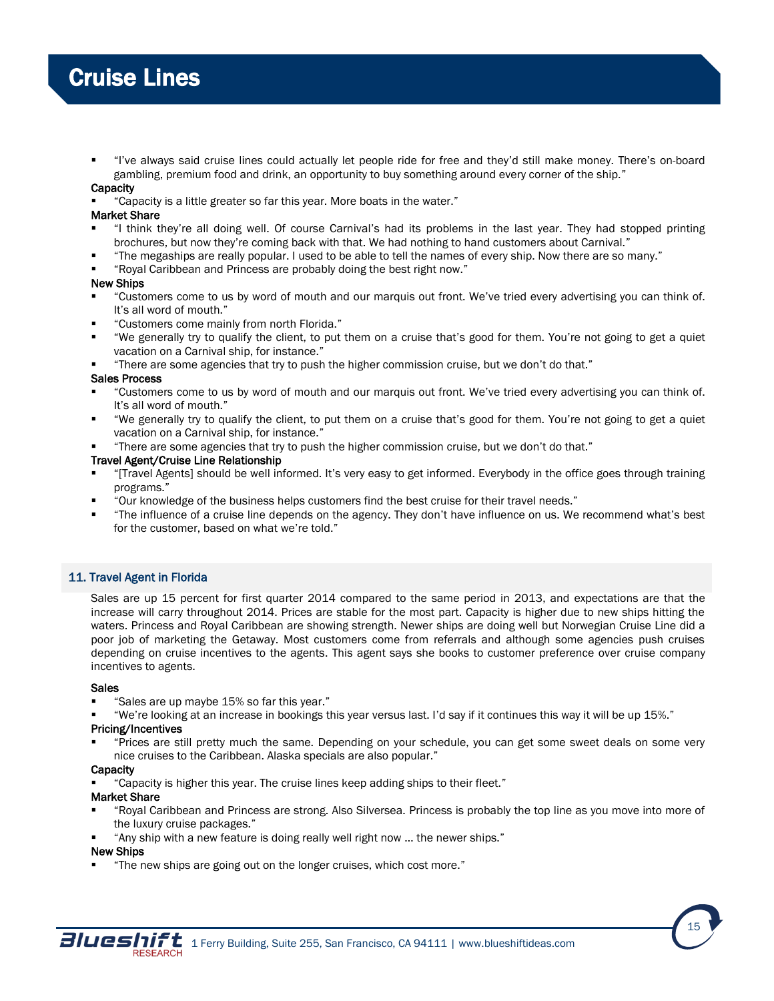"I've always said cruise lines could actually let people ride for free and they'd still make money. There's on-board gambling, premium food and drink, an opportunity to buy something around every corner of the ship."

# **Capacity**

"Capacity is a little greater so far this year. More boats in the water."

# Market Share

- "I think they're all doing well. Of course Carnival's had its problems in the last year. They had stopped printing brochures, but now they're coming back with that. We had nothing to hand customers about Carnival."
- "The megaships are really popular. I used to be able to tell the names of every ship. Now there are so many."
- "Royal Caribbean and Princess are probably doing the best right now."

# New Ships

- "Customers come to us by word of mouth and our marquis out front. We've tried every advertising you can think of. It's all word of mouth."
- "Customers come mainly from north Florida."
- "We generally try to qualify the client, to put them on a cruise that's good for them. You're not going to get a quiet vacation on a Carnival ship, for instance."
- "There are some agencies that try to push the higher commission cruise, but we don't do that."

# Sales Process

- "Customers come to us by word of mouth and our marquis out front. We've tried every advertising you can think of. It's all word of mouth."
- "We generally try to qualify the client, to put them on a cruise that's good for them. You're not going to get a quiet vacation on a Carnival ship, for instance."
- "There are some agencies that try to push the higher commission cruise, but we don't do that."

### Travel Agent/Cruise Line Relationship

- "[Travel Agents] should be well informed. It's very easy to get informed. Everybody in the office goes through training programs."
- "Our knowledge of the business helps customers find the best cruise for their travel needs."
- "The influence of a cruise line depends on the agency. They don't have influence on us. We recommend what's best for the customer, based on what we're told."

# 11. Travel Agent in Florida

Sales are up 15 percent for first quarter 2014 compared to the same period in 2013, and expectations are that the increase will carry throughout 2014. Prices are stable for the most part. Capacity is higher due to new ships hitting the waters. Princess and Royal Caribbean are showing strength. Newer ships are doing well but Norwegian Cruise Line did a poor job of marketing the Getaway. Most customers come from referrals and although some agencies push cruises depending on cruise incentives to the agents. This agent says she books to customer preference over cruise company incentives to agents.

#### Sales

- "Sales are up maybe 15% so far this year."
- "We're looking at an increase in bookings this year versus last. I'd say if it continues this way it will be up 15%."

# Pricing/Incentives

 "Prices are still pretty much the same. Depending on your schedule, you can get some sweet deals on some very nice cruises to the Caribbean. Alaska specials are also popular."

#### **Capacity**

"Capacity is higher this year. The cruise lines keep adding ships to their fleet."

# Market Share

- "Royal Caribbean and Princess are strong. Also Silversea. Princess is probably the top line as you move into more of the luxury cruise packages."
- "Any ship with a new feature is doing really well right now … the newer ships."

#### New Ships

"The new ships are going out on the longer cruises, which cost more."

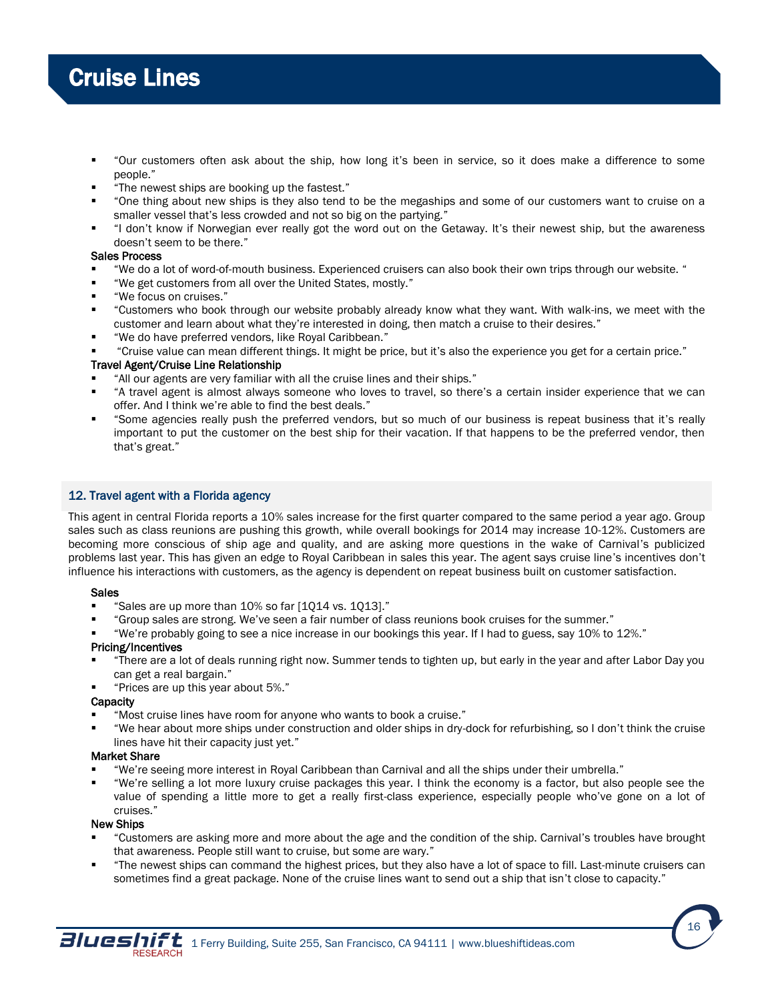- "Our customers often ask about the ship, how long it's been in service, so it does make a difference to some people."
- "The newest ships are booking up the fastest."
- "One thing about new ships is they also tend to be the megaships and some of our customers want to cruise on a smaller vessel that's less crowded and not so big on the partying."
- "I don't know if Norwegian ever really got the word out on the Getaway. It's their newest ship, but the awareness doesn't seem to be there."

# Sales Process

- "We do a lot of word-of-mouth business. Experienced cruisers can also book their own trips through our website. "
- "We get customers from all over the United States, mostly."
- "We focus on cruises."
- "Customers who book through our website probably already know what they want. With walk-ins, we meet with the customer and learn about what they're interested in doing, then match a cruise to their desires."
- "We do have preferred vendors, like Royal Caribbean."
- "Cruise value can mean different things. It might be price, but it's also the experience you get for a certain price."

# Travel Agent/Cruise Line Relationship

- "All our agents are very familiar with all the cruise lines and their ships."
- "A travel agent is almost always someone who loves to travel, so there's a certain insider experience that we can offer. And I think we're able to find the best deals."
- "Some agencies really push the preferred vendors, but so much of our business is repeat business that it's really important to put the customer on the best ship for their vacation. If that happens to be the preferred vendor, then that's great."

# 12. Travel agent with a Florida agency

This agent in central Florida reports a 10% sales increase for the first quarter compared to the same period a year ago. Group sales such as class reunions are pushing this growth, while overall bookings for 2014 may increase 10-12%. Customers are becoming more conscious of ship age and quality, and are asking more questions in the wake of Carnival's publicized problems last year. This has given an edge to Royal Caribbean in sales this year. The agent says cruise line's incentives don't influence his interactions with customers, as the agency is dependent on repeat business built on customer satisfaction.

# Sales

- "Sales are up more than 10% so far [1Q14 vs. 1Q13]."
- "Group sales are strong. We've seen a fair number of class reunions book cruises for the summer."
- "We're probably going to see a nice increase in our bookings this year. If I had to guess, say 10% to 12%."

# Pricing/Incentives

- "There are a lot of deals running right now. Summer tends to tighten up, but early in the year and after Labor Day you can get a real bargain."
- "Prices are up this year about 5%."

# **Capacity**

- "Most cruise lines have room for anyone who wants to book a cruise."
- "We hear about more ships under construction and older ships in dry-dock for refurbishing, so I don't think the cruise lines have hit their capacity just yet."

# Market Share

- "We're seeing more interest in Royal Caribbean than Carnival and all the ships under their umbrella."
- "We're selling a lot more luxury cruise packages this year. I think the economy is a factor, but also people see the value of spending a little more to get a really first-class experience, especially people who've gone on a lot of cruises."

# New Ships

- "Customers are asking more and more about the age and the condition of the ship. Carnival's troubles have brought that awareness. People still want to cruise, but some are wary."
- "The newest ships can command the highest prices, but they also have a lot of space to fill. Last-minute cruisers can sometimes find a great package. None of the cruise lines want to send out a ship that isn't close to capacity."

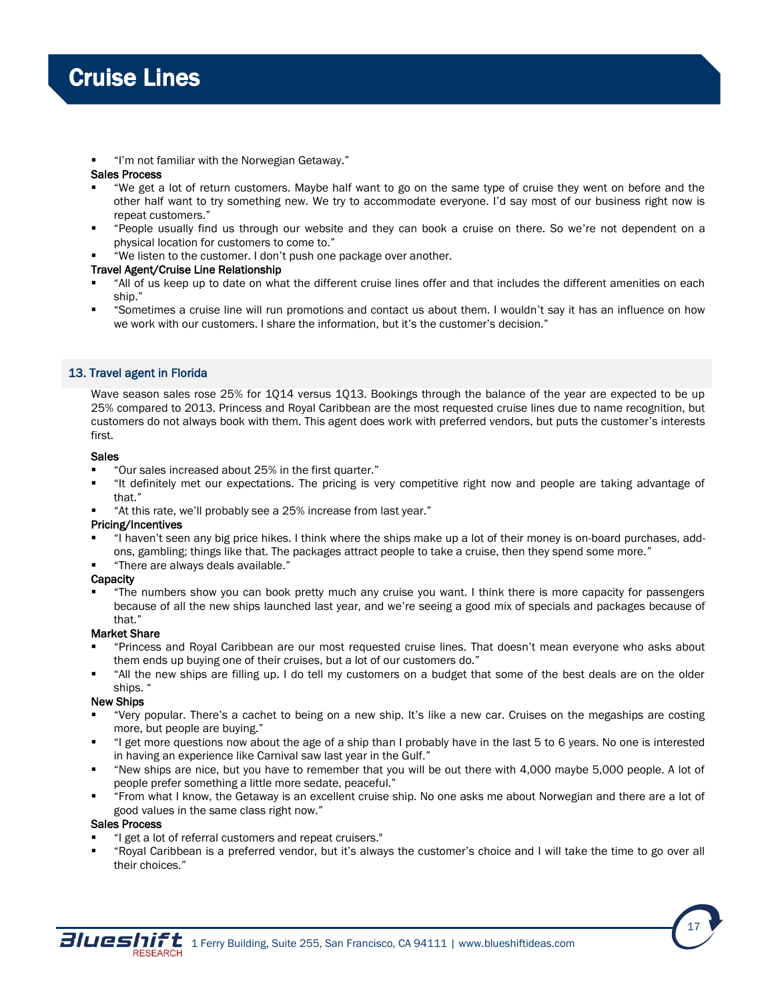"I'm not familiar with the Norwegian Getaway."

# Sales Process

- "We get a lot of return customers. Maybe half want to go on the same type of cruise they went on before and the other half want to try something new. We try to accommodate everyone. I'd say most of our business right now is repeat customers."
- "People usually find us through our website and they can book a cruise on there. So we're not dependent on a physical location for customers to come to."
- "We listen to the customer. I don't push one package over another.

# Travel Agent/Cruise Line Relationship

- "All of us keep up to date on what the different cruise lines offer and that includes the different amenities on each ship."
- "Sometimes a cruise line will run promotions and contact us about them. I wouldn't say it has an influence on how we work with our customers. I share the information, but it's the customer's decision."

# 13. Travel agent in Florida

Wave season sales rose 25% for 1Q14 versus 1Q13. Bookings through the balance of the year are expected to be up 25% compared to 2013. Princess and Royal Caribbean are the most requested cruise lines due to name recognition, but customers do not always book with them. This agent does work with preferred vendors, but puts the customer's interests first.

# Sales

- "Our sales increased about 25% in the first quarter."
- "It definitely met our expectations. The pricing is very competitive right now and people are taking advantage of that."
- "At this rate, we'll probably see a 25% increase from last year."

# Pricing/Incentives

- "I haven't seen any big price hikes. I think where the ships make up a lot of their money is on-board purchases, addons, gambling; things like that. The packages attract people to take a cruise, then they spend some more."
- "There are always deals available."

# **Capacity**

 "The numbers show you can book pretty much any cruise you want. I think there is more capacity for passengers because of all the new ships launched last year, and we're seeing a good mix of specials and packages because of that."

# Market Share

- "Princess and Royal Caribbean are our most requested cruise lines. That doesn't mean everyone who asks about them ends up buying one of their cruises, but a lot of our customers do."
- "All the new ships are filling up. I do tell my customers on a budget that some of the best deals are on the older ships. '

# New Ships

- "Very popular. There's a cachet to being on a new ship. It's like a new car. Cruises on the megaships are costing more, but people are buying."
- "I get more questions now about the age of a ship than I probably have in the last 5 to 6 years. No one is interested in having an experience like Carnival saw last year in the Gulf."
- "New ships are nice, but you have to remember that you will be out there with 4,000 maybe 5,000 people. A lot of people prefer something a little more sedate, peaceful."
- "From what I know, the Getaway is an excellent cruise ship. No one asks me about Norwegian and there are a lot of good values in the same class right now."

# Sales Process

- "I get a lot of referral customers and repeat cruisers."
- "Royal Caribbean is a preferred vendor, but it's always the customer's choice and I will take the time to go over all their choices."

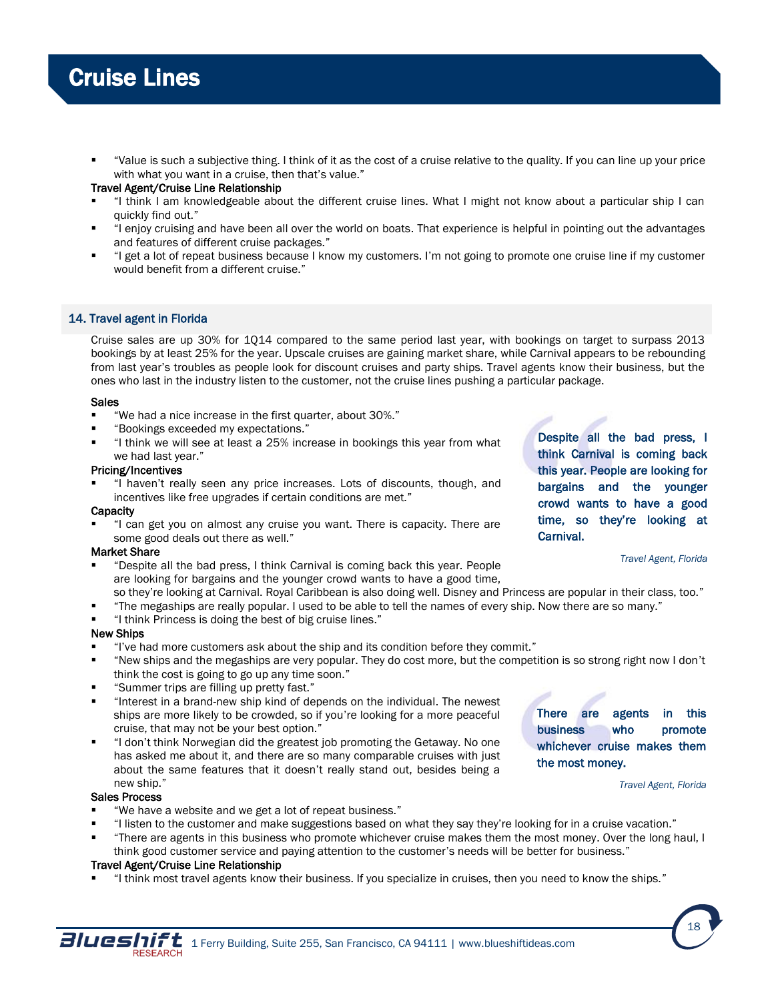"Value is such a subjective thing. I think of it as the cost of a cruise relative to the quality. If you can line up your price with what you want in a cruise, then that's value."

# Travel Agent/Cruise Line Relationship

- "I think I am knowledgeable about the different cruise lines. What I might not know about a particular ship I can quickly find out."
- "I enjoy cruising and have been all over the world on boats. That experience is helpful in pointing out the advantages and features of different cruise packages."
- "I get a lot of repeat business because I know my customers. I'm not going to promote one cruise line if my customer would benefit from a different cruise."

# 14. Travel agent in Florida

Cruise sales are up 30% for 1Q14 compared to the same period last year, with bookings on target to surpass 2013 bookings by at least 25% for the year. Upscale cruises are gaining market share, while Carnival appears to be rebounding from last year's troubles as people look for discount cruises and party ships. Travel agents know their business, but the ones who last in the industry listen to the customer, not the cruise lines pushing a particular package.

### Sales

- "We had a nice increase in the first quarter, about 30%."
- "Bookings exceeded my expectations."
- "I think we will see at least a 25% increase in bookings this year from what we had last year."

### Pricing/Incentives

 "I haven't really seen any price increases. Lots of discounts, though, and incentives like free upgrades if certain conditions are met."

#### **Capacity**

 "I can get you on almost any cruise you want. There is capacity. There are some good deals out there as well."

### Market Share

- "Despite all the bad press, I think Carnival is coming back this year. People are looking for bargains and the younger crowd wants to have a good time,
- so they're looking at Carnival. Royal Caribbean is also doing well. Disney and Princess are popular in their class, too."
- "The megaships are really popular. I used to be able to tell the names of every ship. Now there are so many."
- "I think Princess is doing the best of big cruise lines."

# New Ships

- "I've had more customers ask about the ship and its condition before they commit."
- "New ships and the megaships are very popular. They do cost more, but the competition is so strong right now I don't think the cost is going to go up any time soon."
- "Summer trips are filling up pretty fast."
- "Interest in a brand-new ship kind of depends on the individual. The newest ships are more likely to be crowded, so if you're looking for a more peaceful cruise, that may not be your best option."
- "I don't think Norwegian did the greatest job promoting the Getaway. No one has asked me about it, and there are so many comparable cruises with just about the same features that it doesn't really stand out, besides being a new ship."

#### Sales Process

- "We have a website and we get a lot of repeat business."
- "I listen to the customer and make suggestions based on what they say they're looking for in a cruise vacation."
- "There are agents in this business who promote whichever cruise makes them the most money. Over the long haul, I think good customer service and paying attention to the customer's needs will be better for business."

# Travel Agent/Cruise Line Relationship

"I think most travel agents know their business. If you specialize in cruises, then you need to know the ships."

Despite all the bad press, I think Carnival is coming back this year. People are looking for bargains and the younger crowd wants to have a good time, so they're looking at Carnival.

*Travel Agent, Florida*

There are agents in this business who promote whichever cruise makes them the most money.



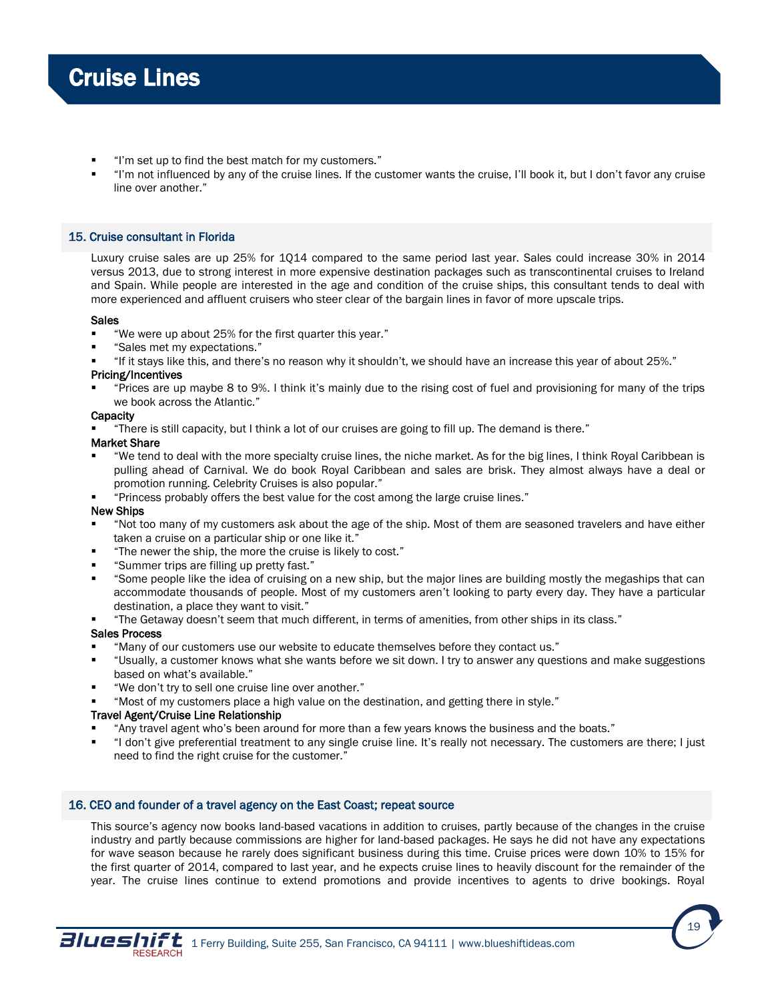- "I'm set up to find the best match for my customers."
- "I'm not influenced by any of the cruise lines. If the customer wants the cruise, I'll book it, but I don't favor any cruise line over another."

# 15. Cruise consultant in Florida

Luxury cruise sales are up 25% for 1Q14 compared to the same period last year. Sales could increase 30% in 2014 versus 2013, due to strong interest in more expensive destination packages such as transcontinental cruises to Ireland and Spain. While people are interested in the age and condition of the cruise ships, this consultant tends to deal with more experienced and affluent cruisers who steer clear of the bargain lines in favor of more upscale trips.

# Sales

- "We were up about 25% for the first quarter this year."
- "Sales met my expectations."
- "If it stays like this, and there's no reason why it shouldn't, we should have an increase this year of about 25%."

### Pricing/Incentives

 "Prices are up maybe 8 to 9%. I think it's mainly due to the rising cost of fuel and provisioning for many of the trips we book across the Atlantic."

### **Capacity**

"There is still capacity, but I think a lot of our cruises are going to fill up. The demand is there."

#### Market Share

- "We tend to deal with the more specialty cruise lines, the niche market. As for the big lines, I think Royal Caribbean is pulling ahead of Carnival. We do book Royal Caribbean and sales are brisk. They almost always have a deal or promotion running. Celebrity Cruises is also popular."
- "Princess probably offers the best value for the cost among the large cruise lines."

# New Ships

- "Not too many of my customers ask about the age of the ship. Most of them are seasoned travelers and have either taken a cruise on a particular ship or one like it."
- "The newer the ship, the more the cruise is likely to cost."
- "Summer trips are filling up pretty fast."
- "Some people like the idea of cruising on a new ship, but the major lines are building mostly the megaships that can accommodate thousands of people. Most of my customers aren't looking to party every day. They have a particular destination, a place they want to visit."
- "The Getaway doesn't seem that much different, in terms of amenities, from other ships in its class."

# Sales Process

- "Many of our customers use our website to educate themselves before they contact us."
- "Usually, a customer knows what she wants before we sit down. I try to answer any questions and make suggestions based on what's available."
- "We don't try to sell one cruise line over another."
- "Most of my customers place a high value on the destination, and getting there in style."

# Travel Agent/Cruise Line Relationship

- "Any travel agent who's been around for more than a few years knows the business and the boats."
- "I don't give preferential treatment to any single cruise line. It's really not necessary. The customers are there; I just need to find the right cruise for the customer."

# 16. CEO and founder of a travel agency on the East Coast; repeat source

This source's agency now books land-based vacations in addition to cruises, partly because of the changes in the cruise industry and partly because commissions are higher for land-based packages. He says he did not have any expectations for wave season because he rarely does significant business during this time. Cruise prices were down 10% to 15% for the first quarter of 2014, compared to last year, and he expects cruise lines to heavily discount for the remainder of the year. The cruise lines continue to extend promotions and provide incentives to agents to drive bookings. Royal

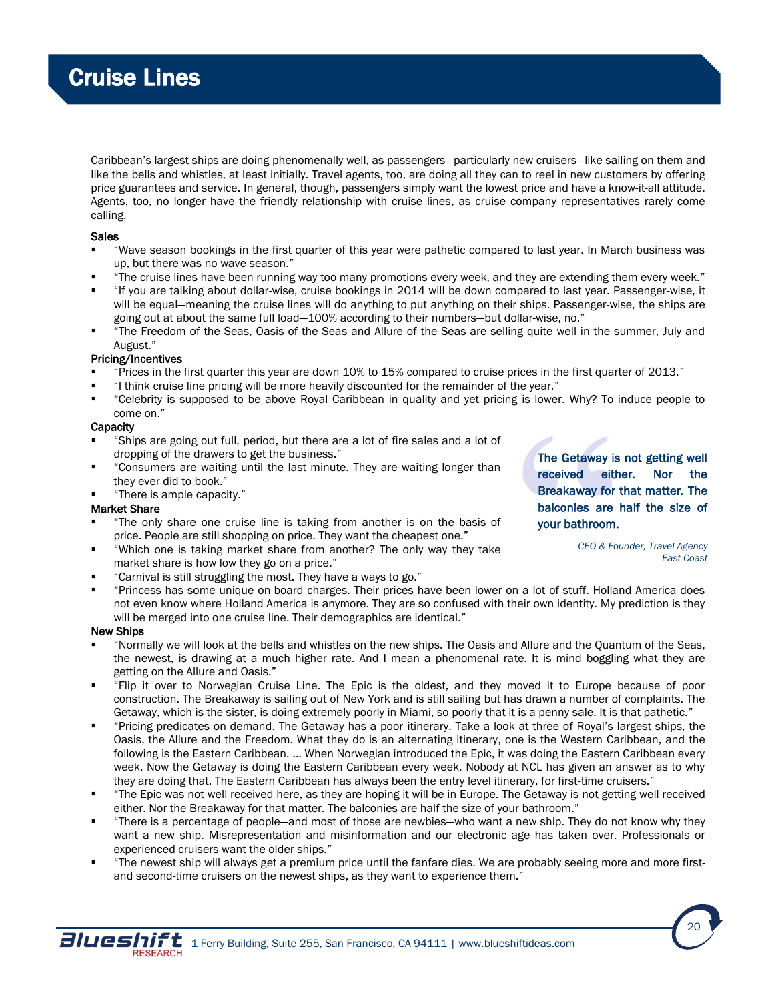Caribbean's largest ships are doing phenomenally well, as passengers—particularly new cruisers—like sailing on them and like the bells and whistles, at least initially. Travel agents, too, are doing all they can to reel in new customers by offering price guarantees and service. In general, though, passengers simply want the lowest price and have a know-it-all attitude. Agents, too, no longer have the friendly relationship with cruise lines, as cruise company representatives rarely come calling.

## **Sales**

- "Wave season bookings in the first quarter of this year were pathetic compared to last year. In March business was up, but there was no wave season."
- "The cruise lines have been running way too many promotions every week, and they are extending them every week."
- "If you are talking about dollar-wise, cruise bookings in 2014 will be down compared to last year. Passenger-wise, it will be equal—meaning the cruise lines will do anything to put anything on their ships. Passenger-wise, the ships are going out at about the same full load—100% according to their numbers—but dollar-wise, no."
- "The Freedom of the Seas, Oasis of the Seas and Allure of the Seas are selling quite well in the summer, July and August."

# Pricing/Incentives

- "Prices in the first quarter this year are down 10% to 15% compared to cruise prices in the first quarter of 2013."
- "I think cruise line pricing will be more heavily discounted for the remainder of the year."
- "Celebrity is supposed to be above Royal Caribbean in quality and yet pricing is lower. Why? To induce people to come on."

# **Capacity**

- "Ships are going out full, period, but there are a lot of fire sales and a lot of dropping of the drawers to get the business."
- "Consumers are waiting until the last minute. They are waiting longer than they ever did to book."
- "There is ample capacity."

# Market Share

- "The only share one cruise line is taking from another is on the basis of price. People are still shopping on price. They want the cheapest one."
- "Which one is taking market share from another? The only way they take market share is how low they go on a price."
- "Carnival is still struggling the most. They have a ways to go."
- "Princess has some unique on-board charges. Their prices have been lower on a lot of stuff. Holland America does not even know where Holland America is anymore. They are so confused with their own identity. My prediction is they will be merged into one cruise line. Their demographics are identical."

# New Ships

- "Normally we will look at the bells and whistles on the new ships. The Oasis and Allure and the Quantum of the Seas, the newest, is drawing at a much higher rate. And I mean a phenomenal rate. It is mind boggling what they are getting on the Allure and Oasis."
- "Flip it over to Norwegian Cruise Line. The Epic is the oldest, and they moved it to Europe because of poor construction. The Breakaway is sailing out of New York and is still sailing but has drawn a number of complaints. The Getaway, which is the sister, is doing extremely poorly in Miami, so poorly that it is a penny sale. It is that pathetic."
- "Pricing predicates on demand. The Getaway has a poor itinerary. Take a look at three of Royal's largest ships, the Oasis, the Allure and the Freedom. What they do is an alternating itinerary, one is the Western Caribbean, and the following is the Eastern Caribbean. … When Norwegian introduced the Epic, it was doing the Eastern Caribbean every week. Now the Getaway is doing the Eastern Caribbean every week. Nobody at NCL has given an answer as to why they are doing that. The Eastern Caribbean has always been the entry level itinerary, for first-time cruisers."
- "The Epic was not well received here, as they are hoping it will be in Europe. The Getaway is not getting well received either. Nor the Breakaway for that matter. The balconies are half the size of your bathroom."
- "There is a percentage of people—and most of those are newbies—who want a new ship. They do not know why they want a new ship. Misrepresentation and misinformation and our electronic age has taken over. Professionals or experienced cruisers want the older ships."
- "The newest ship will always get a premium price until the fanfare dies. We are probably seeing more and more firstand second-time cruisers on the newest ships, as they want to experience them."

The Getaway is not getting well received either. Nor the Breakaway for that matter. The balconies are half the size of your bathroom.

> *CEO & Founder, Travel Agency East Coast*

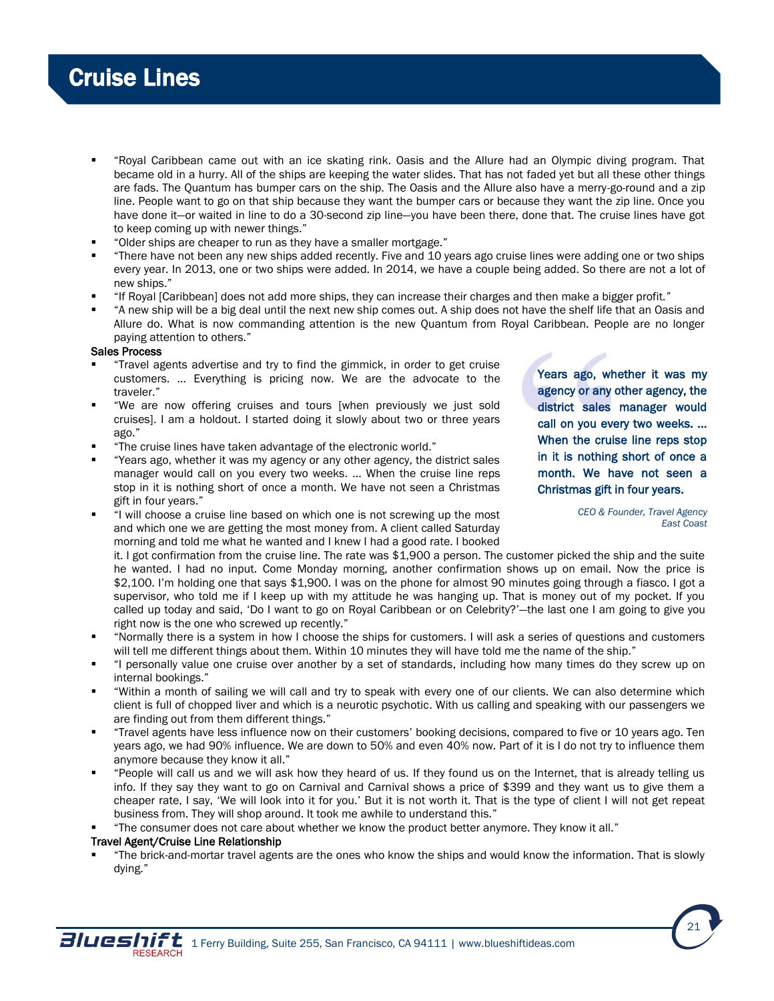- "Royal Caribbean came out with an ice skating rink. Oasis and the Allure had an Olympic diving program. That became old in a hurry. All of the ships are keeping the water slides. That has not faded yet but all these other things are fads. The Quantum has bumper cars on the ship. The Oasis and the Allure also have a merry-go-round and a zip line. People want to go on that ship because they want the bumper cars or because they want the zip line. Once you have done it-or waited in line to do a 30-second zip line-you have been there, done that. The cruise lines have got to keep coming up with newer things."
- "Older ships are cheaper to run as they have a smaller mortgage."
- "There have not been any new ships added recently. Five and 10 years ago cruise lines were adding one or two ships every year. In 2013, one or two ships were added. In 2014, we have a couple being added. So there are not a lot of new ships."
- "If Royal [Caribbean] does not add more ships, they can increase their charges and then make a bigger profit."
- "A new ship will be a big deal until the next new ship comes out. A ship does not have the shelf life that an Oasis and Allure do. What is now commanding attention is the new Quantum from Royal Caribbean. People are no longer paying attention to others."

### Sales Process

- "Travel agents advertise and try to find the gimmick, in order to get cruise customers. … Everything is pricing now. We are the advocate to the traveler."
- "We are now offering cruises and tours [when previously we just sold cruises]. I am a holdout. I started doing it slowly about two or three years ago."
- "The cruise lines have taken advantage of the electronic world."
- "Years ago, whether it was my agency or any other agency, the district sales manager would call on you every two weeks. ... When the cruise line reps stop in it is nothing short of once a month. We have not seen a Christmas gift in four years."
- "I will choose a cruise line based on which one is not screwing up the most and which one we are getting the most money from. A client called Saturday morning and told me what he wanted and I knew I had a good rate. I booked

Years ago, whether it was my agency or any other agency, the district sales manager would call on you every two weeks. ... When the cruise line reps stop in it is nothing short of once a month. We have not seen a Christmas gift in four years.

> *CEO & Founder, Travel Agency East Coast*

> > 21

it. I got confirmation from the cruise line. The rate was \$1,900 a person. The customer picked the ship and the suite he wanted. I had no input. Come Monday morning, another confirmation shows up on email. Now the price is \$2,100. I'm holding one that says \$1,900. I was on the phone for almost 90 minutes going through a fiasco. I got a supervisor, who told me if I keep up with my attitude he was hanging up. That is money out of my pocket. If you called up today and said, 'Do I want to go on Royal Caribbean or on Celebrity?'—the last one I am going to give you right now is the one who screwed up recently."

- "Normally there is a system in how I choose the ships for customers. I will ask a series of questions and customers will tell me different things about them. Within 10 minutes they will have told me the name of the ship."
- "I personally value one cruise over another by a set of standards, including how many times do they screw up on internal bookings."
- "Within a month of sailing we will call and try to speak with every one of our clients. We can also determine which client is full of chopped liver and which is a neurotic psychotic. With us calling and speaking with our passengers we are finding out from them different things."
- "Travel agents have less influence now on their customers' booking decisions, compared to five or 10 years ago. Ten years ago, we had 90% influence. We are down to 50% and even 40% now. Part of it is I do not try to influence them anymore because they know it all."
- "People will call us and we will ask how they heard of us. If they found us on the Internet, that is already telling us info. If they say they want to go on Carnival and Carnival shows a price of \$399 and they want us to give them a cheaper rate, I say, 'We will look into it for you.' But it is not worth it. That is the type of client I will not get repeat business from. They will shop around. It took me awhile to understand this."
- "The consumer does not care about whether we know the product better anymore. They know it all."

#### Travel Agent/Cruise Line Relationship

 "The brick-and-mortar travel agents are the ones who know the ships and would know the information. That is slowly dying."

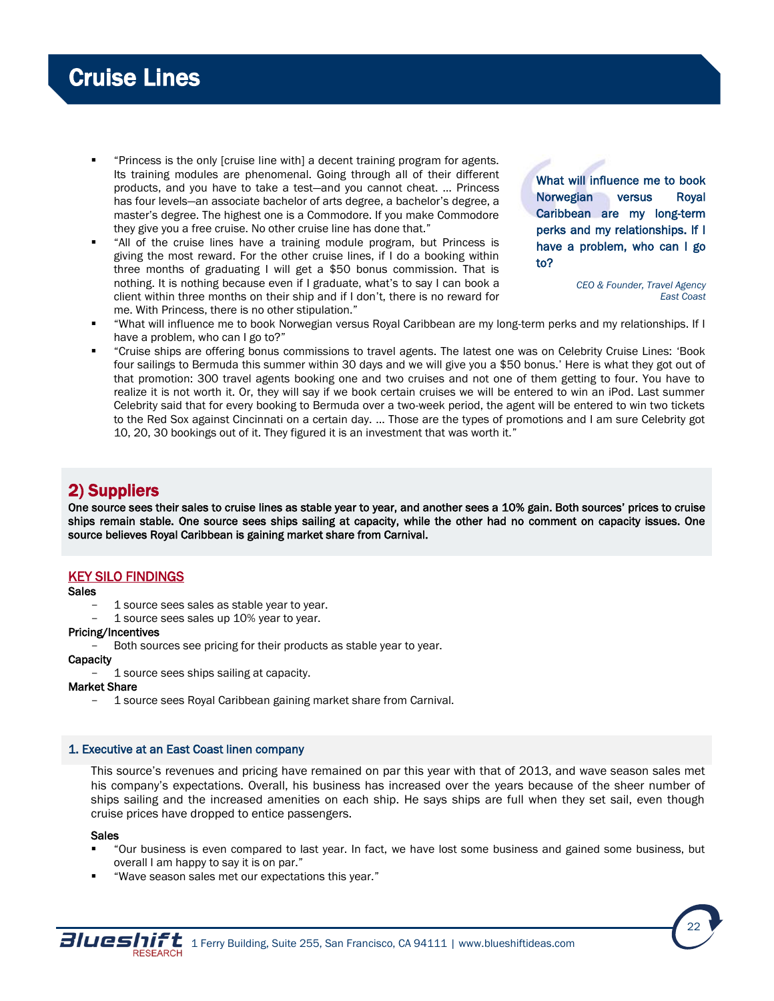- <span id="page-21-0"></span> "Princess is the only [cruise line with] a decent training program for agents. Its training modules are phenomenal. Going through all of their different products, and you have to take a test—and you cannot cheat. … Princess has four levels—an associate bachelor of arts degree, a bachelor's degree, a master's degree. The highest one is a Commodore. If you make Commodore they give you a free cruise. No other cruise line has done that."
- "All of the cruise lines have a training module program, but Princess is giving the most reward. For the other cruise lines, if I do a booking within three months of graduating I will get a \$50 bonus commission. That is nothing. It is nothing because even if I graduate, what's to say I can book a client within three months on their ship and if I don't, there is no reward for me. With Princess, there is no other stipulation."

What will influence me to book Norwegian versus Royal Caribbean are my long-term perks and my relationships. If I have a problem, who can I go to?

> *CEO & Founder, Travel Agency East Coast*

- "What will influence me to book Norwegian versus Royal Caribbean are my long-term perks and my relationships. If I have a problem, who can I go to?"
- "Cruise ships are offering bonus commissions to travel agents. The latest one was on Celebrity Cruise Lines: 'Book four sailings to Bermuda this summer within 30 days and we will give you a \$50 bonus.' Here is what they got out of that promotion: 300 travel agents booking one and two cruises and not one of them getting to four. You have to realize it is not worth it. Or, they will say if we book certain cruises we will be entered to win an iPod. Last summer Celebrity said that for every booking to Bermuda over a two-week period, the agent will be entered to win two tickets to the Red Sox against Cincinnati on a certain day. ... Those are the types of promotions and I am sure Celebrity got 10, 20, 30 bookings out of it. They figured it is an investment that was worth it."

# 2) Suppliers

One source sees their sales to cruise lines as stable year to year, and another sees a 10% gain. Both sources' prices to cruise ships remain stable. One source sees ships sailing at capacity, while the other had no comment on capacity issues. One source believes Royal Caribbean is gaining market share from Carnival.

# KEY SILO FINDINGS

# **Sales**

- 1 source sees sales as stable year to year.
- 1 source sees sales up 10% year to year.

# Pricing/Incentives

Both sources see pricing for their products as stable year to year.

# **Capacity**

- 1 source sees ships sailing at capacity.

# Market Share

1 source sees Royal Caribbean gaining market share from Carnival.

# 1. Executive at an East Coast linen company

This source's revenues and pricing have remained on par this year with that of 2013, and wave season sales met his company's expectations. Overall, his business has increased over the years because of the sheer number of ships sailing and the increased amenities on each ship. He says ships are full when they set sail, even though cruise prices have dropped to entice passengers.

#### Sales

- "Our business is even compared to last year. In fact, we have lost some business and gained some business, but overall I am happy to say it is on par."
- "Wave season sales met our expectations this year."

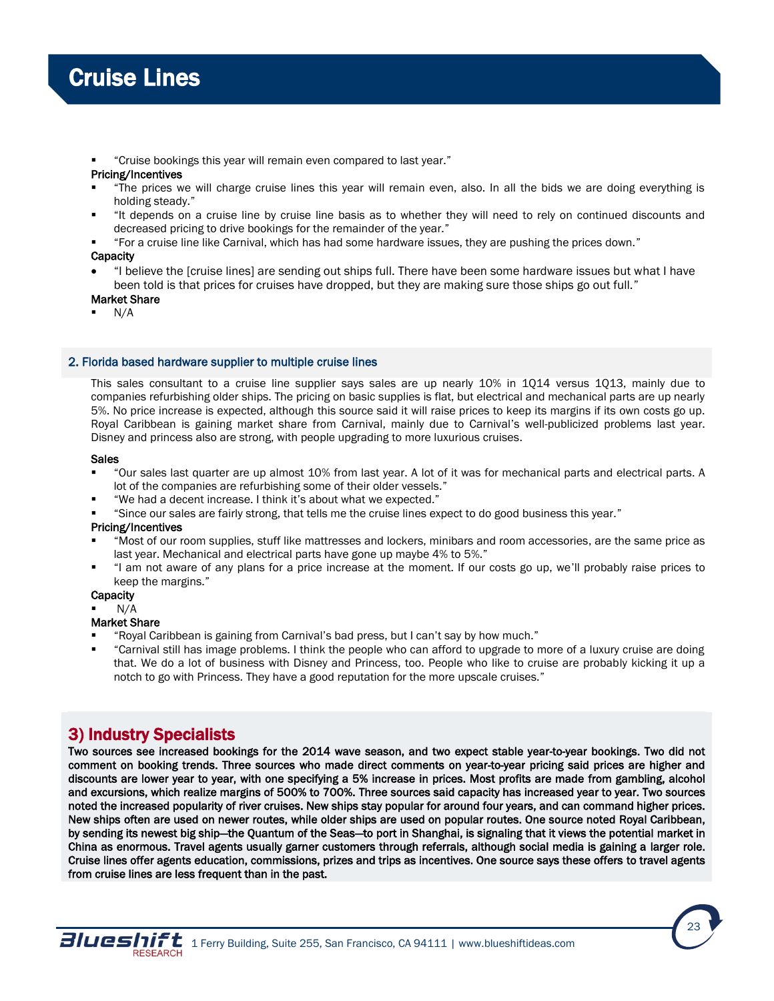<span id="page-22-0"></span>"Cruise bookings this year will remain even compared to last year."

# Pricing/Incentives

- "The prices we will charge cruise lines this year will remain even, also. In all the bids we are doing everything is holding steady."
- "It depends on a cruise line by cruise line basis as to whether they will need to rely on continued discounts and decreased pricing to drive bookings for the remainder of the year."
- "For a cruise line like Carnival, which has had some hardware issues, they are pushing the prices down."

**Capacity** 

 "I believe the [cruise lines] are sending out ships full. There have been some hardware issues but what I have been told is that prices for cruises have dropped, but they are making sure those ships go out full."

# Market Share

N/A

# 2. Florida based hardware supplier to multiple cruise lines

This sales consultant to a cruise line supplier says sales are up nearly 10% in 1Q14 versus 1Q13, mainly due to companies refurbishing older ships. The pricing on basic supplies is flat, but electrical and mechanical parts are up nearly 5%. No price increase is expected, although this source said it will raise prices to keep its margins if its own costs go up. Royal Caribbean is gaining market share from Carnival, mainly due to Carnival's well-publicized problems last year. Disney and princess also are strong, with people upgrading to more luxurious cruises.

# Sales

- "Our sales last quarter are up almost 10% from last year. A lot of it was for mechanical parts and electrical parts. A lot of the companies are refurbishing some of their older vessels."
- "We had a decent increase. I think it's about what we expected."
- "Since our sales are fairly strong, that tells me the cruise lines expect to do good business this year."

# Pricing/Incentives

- "Most of our room supplies, stuff like mattresses and lockers, minibars and room accessories, are the same price as last year. Mechanical and electrical parts have gone up maybe 4% to 5%."
- "I am not aware of any plans for a price increase at the moment. If our costs go up, we'll probably raise prices to keep the margins."

# **Capacity**

N/A

# Market Share

- "Royal Caribbean is gaining from Carnival's bad press, but I can't say by how much."
- "Carnival still has image problems. I think the people who can afford to upgrade to more of a luxury cruise are doing that. We do a lot of business with Disney and Princess, too. People who like to cruise are probably kicking it up a notch to go with Princess. They have a good reputation for the more upscale cruises."

# 3) Industry Specialists

Two sources see increased bookings for the 2014 wave season, and two expect stable year-to-year bookings. Two did not comment on booking trends. Three sources who made direct comments on year-to-year pricing said prices are higher and discounts are lower year to year, with one specifying a 5% increase in prices. Most profits are made from gambling, alcohol and excursions, which realize margins of 500% to 700%. Three sources said capacity has increased year to year. Two sources noted the increased popularity of river cruises. New ships stay popular for around four years, and can command higher prices. New ships often are used on newer routes, while older ships are used on popular routes. One source noted Royal Caribbean, by sending its newest big ship—the Quantum of the Seas—to port in Shanghai, is signaling that it views the potential market in China as enormous. Travel agents usually garner customers through referrals, although social media is gaining a larger role. Cruise lines offer agents education, commissions, prizes and trips as incentives. One source says these offers to travel agents from cruise lines are less frequent than in the past.

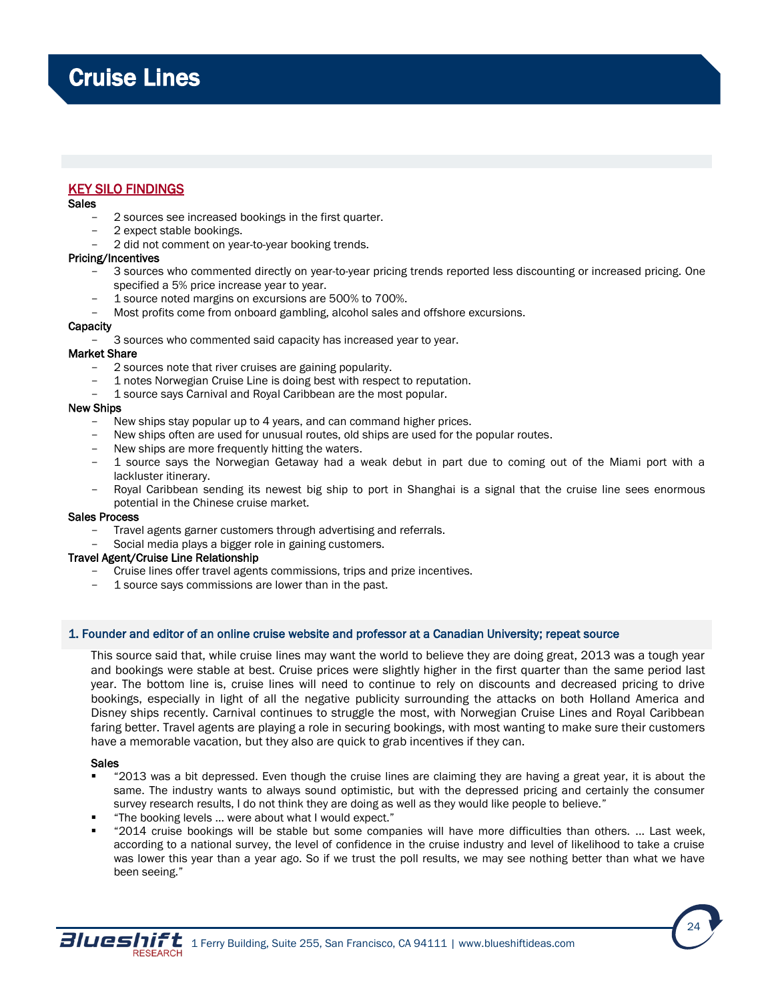# KEY SILO FINDINGS

# Sales

- 2 sources see increased bookings in the first quarter.
- 2 expect stable bookings.
- 2 did not comment on year-to-year booking trends.

# Pricing/Incentives

- 3 sources who commented directly on year-to-year pricing trends reported less discounting or increased pricing. One specified a 5% price increase year to year.
- 1 source noted margins on excursions are 500% to 700%.
- Most profits come from onboard gambling, alcohol sales and offshore excursions.

### **Capacity**

- 3 sources who commented said capacity has increased year to year.

### Market Share

- 2 sources note that river cruises are gaining popularity.
- 1 notes Norwegian Cruise Line is doing best with respect to reputation.
- 1 source says Carnival and Royal Caribbean are the most popular.

# New Ships

- New ships stay popular up to 4 years, and can command higher prices.
- New ships often are used for unusual routes, old ships are used for the popular routes.
- New ships are more frequently hitting the waters.
- 1 source says the Norwegian Getaway had a weak debut in part due to coming out of the Miami port with a lackluster itinerary.
- Royal Caribbean sending its newest big ship to port in Shanghai is a signal that the cruise line sees enormous potential in the Chinese cruise market.

#### Sales Process

- Travel agents garner customers through advertising and referrals.
- Social media plays a bigger role in gaining customers.

# Travel Agent/Cruise Line Relationship

- Cruise lines offer travel agents commissions, trips and prize incentives.
- 1 source says commissions are lower than in the past.

# 1. Founder and editor of an online cruise website and professor at a Canadian University; repeat source

This source said that, while cruise lines may want the world to believe they are doing great, 2013 was a tough year and bookings were stable at best. Cruise prices were slightly higher in the first quarter than the same period last year. The bottom line is, cruise lines will need to continue to rely on discounts and decreased pricing to drive bookings, especially in light of all the negative publicity surrounding the attacks on both Holland America and Disney ships recently. Carnival continues to struggle the most, with Norwegian Cruise Lines and Royal Caribbean faring better. Travel agents are playing a role in securing bookings, with most wanting to make sure their customers have a memorable vacation, but they also are quick to grab incentives if they can.

# Sales

- "2013 was a bit depressed. Even though the cruise lines are claiming they are having a great year, it is about the same. The industry wants to always sound optimistic, but with the depressed pricing and certainly the consumer survey research results, I do not think they are doing as well as they would like people to believe."
- "The booking levels ... were about what I would expect."
- "2014 cruise bookings will be stable but some companies will have more difficulties than others. ... Last week, according to a national survey, the level of confidence in the cruise industry and level of likelihood to take a cruise was lower this year than a year ago. So if we trust the poll results, we may see nothing better than what we have been seeing."

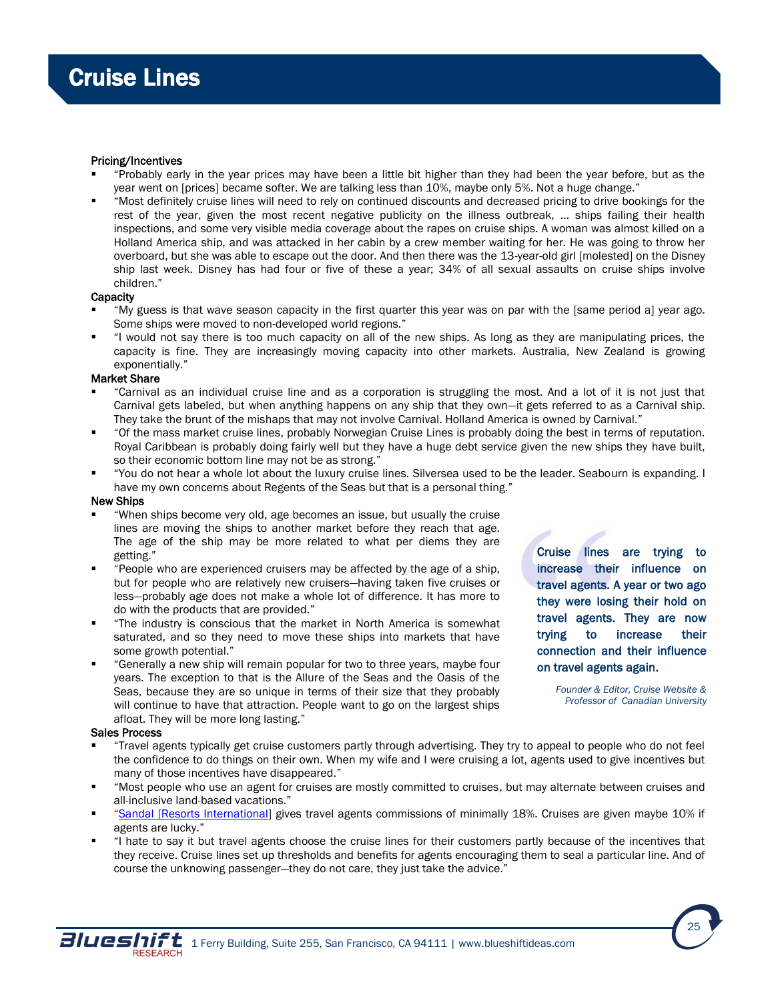## Pricing/Incentives

- "Probably early in the year prices may have been a little bit higher than they had been the year before, but as the year went on [prices] became softer. We are talking less than 10%, maybe only 5%. Not a huge change."
- "Most definitely cruise lines will need to rely on continued discounts and decreased pricing to drive bookings for the rest of the year, given the most recent negative publicity on the illness outbreak, … ships failing their health inspections, and some very visible media coverage about the rapes on cruise ships. A woman was almost killed on a Holland America ship, and was attacked in her cabin by a crew member waiting for her. He was going to throw her overboard, but she was able to escape out the door. And then there was the 13-year-old girl [molested] on the Disney ship last week. Disney has had four or five of these a year; 34% of all sexual assaults on cruise ships involve children."

#### **Capacity**

- "My guess is that wave season capacity in the first quarter this year was on par with the [same period a] year ago. Some ships were moved to non-developed world regions."
- "I would not say there is too much capacity on all of the new ships. As long as they are manipulating prices, the capacity is fine. They are increasingly moving capacity into other markets. Australia, New Zealand is growing exponentially."

# Market Share

- "Carnival as an individual cruise line and as a corporation is struggling the most. And a lot of it is not just that Carnival gets labeled, but when anything happens on any ship that they own—it gets referred to as a Carnival ship. They take the brunt of the mishaps that may not involve Carnival. Holland America is owned by Carnival."
- "Of the mass market cruise lines, probably Norwegian Cruise Lines is probably doing the best in terms of reputation. Royal Caribbean is probably doing fairly well but they have a huge debt service given the new ships they have built, so their economic bottom line may not be as strong."
- "You do not hear a whole lot about the luxury cruise lines. Silversea used to be the leader. Seabourn is expanding. I have my own concerns about Regents of the Seas but that is a personal thing."

#### New Ships

- "When ships become very old, age becomes an issue, but usually the cruise lines are moving the ships to another market before they reach that age. The age of the ship may be more related to what per diems they are getting."
- "People who are experienced cruisers may be affected by the age of a ship, but for people who are relatively new cruisers—having taken five cruises or less—probably age does not make a whole lot of difference. It has more to do with the products that are provided."
- "The industry is conscious that the market in North America is somewhat saturated, and so they need to move these ships into markets that have some growth potential."
- "Generally a new ship will remain popular for two to three years, maybe four years. The exception to that is the Allure of the Seas and the Oasis of the Seas, because they are so unique in terms of their size that they probably will continue to have that attraction. People want to go on the largest ships afloat. They will be more long lasting."

#### Sales Process

- "Travel agents typically get cruise customers partly through advertising. They try to appeal to people who do not feel the confidence to do things on their own. When my wife and I were cruising a lot, agents used to give incentives but many of those incentives have disappeared."
- "Most people who use an agent for cruises are mostly committed to cruises, but may alternate between cruises and all-inclusive land-based vacations."
- "Sandal [\[Resorts International\]](http://www.sandals.com/) gives travel agents commissions of minimally 18%. Cruises are given maybe 10% if agents are lucky."
- "I hate to say it but travel agents choose the cruise lines for their customers partly because of the incentives that they receive. Cruise lines set up thresholds and benefits for agents encouraging them to seal a particular line. And of course the unknowing passenger—they do not care, they just take the advice."

Cruise lines are trying to increase their influence on travel agents. A year or two ago they were losing their hold on travel agents. They are now trying to increase their connection and their influence on travel agents again.

> *Founder & Editor, Cruise Website & Professor of Canadian University*

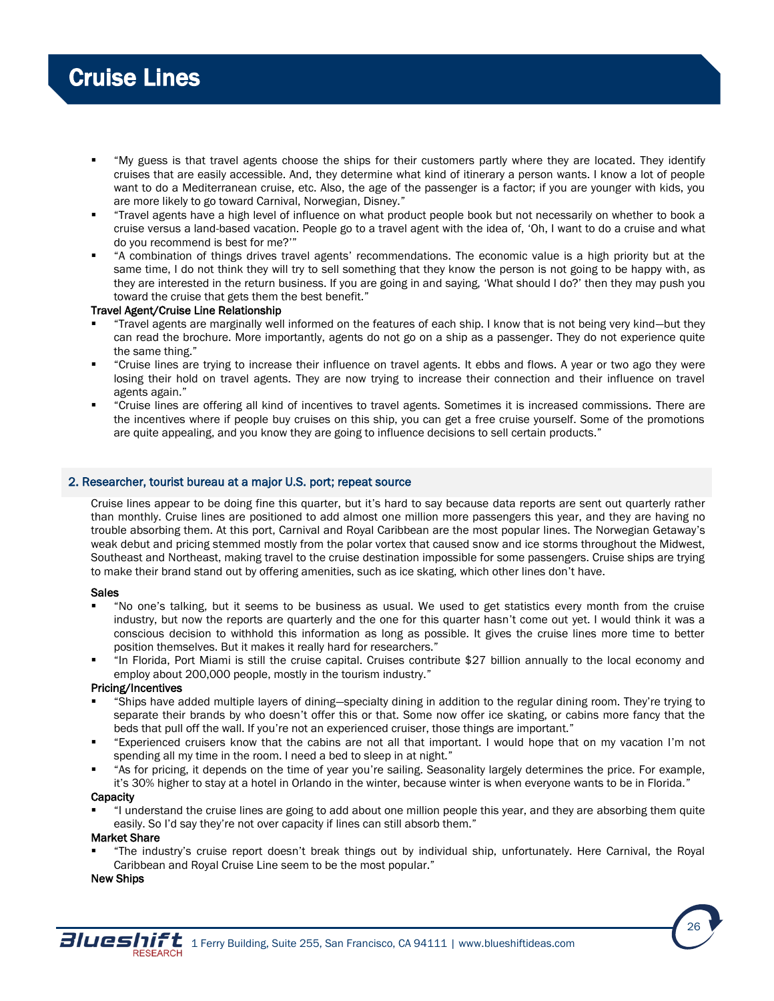- "My guess is that travel agents choose the ships for their customers partly where they are located. They identify cruises that are easily accessible. And, they determine what kind of itinerary a person wants. I know a lot of people want to do a Mediterranean cruise, etc. Also, the age of the passenger is a factor; if you are younger with kids, you are more likely to go toward Carnival, Norwegian, Disney."
- "Travel agents have a high level of influence on what product people book but not necessarily on whether to book a cruise versus a land-based vacation. People go to a travel agent with the idea of, 'Oh, I want to do a cruise and what do you recommend is best for me?'"
- "A combination of things drives travel agents' recommendations. The economic value is a high priority but at the same time, I do not think they will try to sell something that they know the person is not going to be happy with, as they are interested in the return business. If you are going in and saying, 'What should I do?' then they may push you toward the cruise that gets them the best benefit."

# Travel Agent/Cruise Line Relationship

- "Travel agents are marginally well informed on the features of each ship. I know that is not being very kind—but they can read the brochure. More importantly, agents do not go on a ship as a passenger. They do not experience quite the same thing."
- "Cruise lines are trying to increase their influence on travel agents. It ebbs and flows. A year or two ago they were losing their hold on travel agents. They are now trying to increase their connection and their influence on travel agents again."
- "Cruise lines are offering all kind of incentives to travel agents. Sometimes it is increased commissions. There are the incentives where if people buy cruises on this ship, you can get a free cruise yourself. Some of the promotions are quite appealing, and you know they are going to influence decisions to sell certain products."

# 2. Researcher, tourist bureau at a major U.S. port; repeat source

Cruise lines appear to be doing fine this quarter, but it's hard to say because data reports are sent out quarterly rather than monthly. Cruise lines are positioned to add almost one million more passengers this year, and they are having no trouble absorbing them. At this port, Carnival and Royal Caribbean are the most popular lines. The Norwegian Getaway's weak debut and pricing stemmed mostly from the polar vortex that caused snow and ice storms throughout the Midwest, Southeast and Northeast, making travel to the cruise destination impossible for some passengers. Cruise ships are trying to make their brand stand out by offering amenities, such as ice skating, which other lines don't have.

# Sales

- "No one's talking, but it seems to be business as usual. We used to get statistics every month from the cruise industry, but now the reports are quarterly and the one for this quarter hasn't come out yet. I would think it was a conscious decision to withhold this information as long as possible. It gives the cruise lines more time to better position themselves. But it makes it really hard for researchers."
- "In Florida, Port Miami is still the cruise capital. Cruises contribute \$27 billion annually to the local economy and employ about 200,000 people, mostly in the tourism industry."

# Pricing/Incentives

- "Ships have added multiple layers of dining—specialty dining in addition to the regular dining room. They're trying to separate their brands by who doesn't offer this or that. Some now offer ice skating, or cabins more fancy that the beds that pull off the wall. If you're not an experienced cruiser, those things are important."
- "Experienced cruisers know that the cabins are not all that important. I would hope that on my vacation I'm not spending all my time in the room. I need a bed to sleep in at night."
- "As for pricing, it depends on the time of year you're sailing. Seasonality largely determines the price. For example, it's 30% higher to stay at a hotel in Orlando in the winter, because winter is when everyone wants to be in Florida."

# **Capacity**

 "I understand the cruise lines are going to add about one million people this year, and they are absorbing them quite easily. So I'd say they're not over capacity if lines can still absorb them."

# Market Share

 "The industry's cruise report doesn't break things out by individual ship, unfortunately. Here Carnival, the Royal Caribbean and Royal Cruise Line seem to be the most popular."

# New Ships

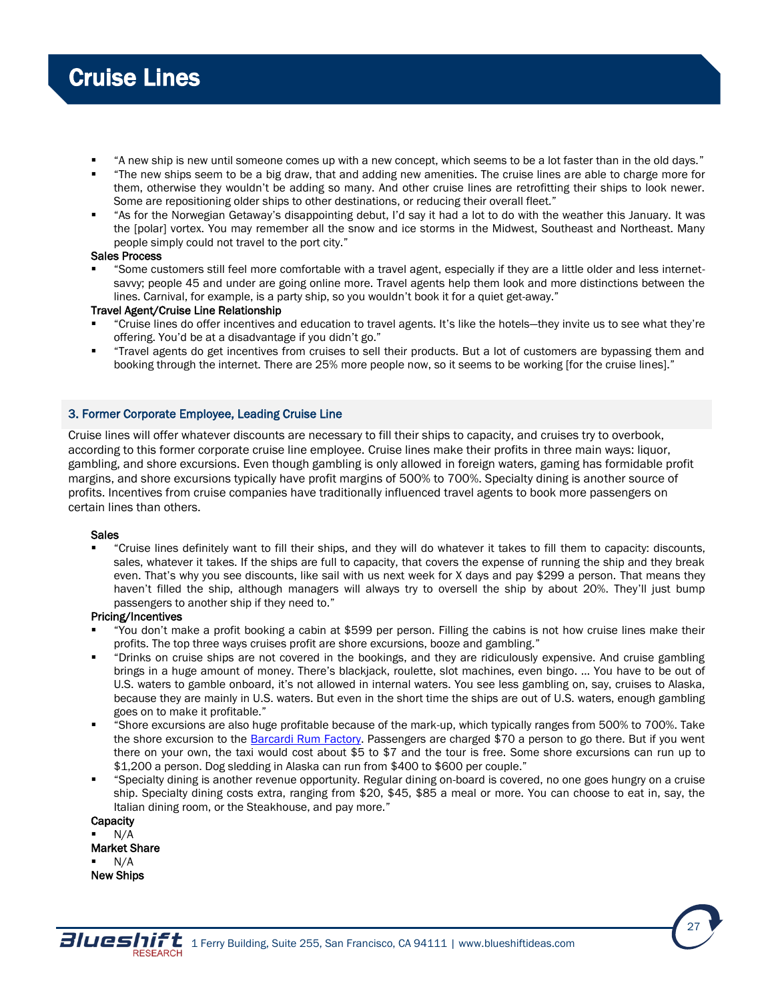- "A new ship is new until someone comes up with a new concept, which seems to be a lot faster than in the old days."
- "The new ships seem to be a big draw, that and adding new amenities. The cruise lines are able to charge more for them, otherwise they wouldn't be adding so many. And other cruise lines are retrofitting their ships to look newer. Some are repositioning older ships to other destinations, or reducing their overall fleet."
- "As for the Norwegian Getaway's disappointing debut, I'd say it had a lot to do with the weather this January. It was the [polar] vortex. You may remember all the snow and ice storms in the Midwest, Southeast and Northeast. Many people simply could not travel to the port city."

# Sales Process

 "Some customers still feel more comfortable with a travel agent, especially if they are a little older and less internetsavvy; people 45 and under are going online more. Travel agents help them look and more distinctions between the lines. Carnival, for example, is a party ship, so you wouldn't book it for a quiet get-away."

# Travel Agent/Cruise Line Relationship

- "Cruise lines do offer incentives and education to travel agents. It's like the hotels—they invite us to see what they're offering. You'd be at a disadvantage if you didn't go."
- "Travel agents do get incentives from cruises to sell their products. But a lot of customers are bypassing them and booking through the internet. There are 25% more people now, so it seems to be working [for the cruise lines]."

# 3. Former Corporate Employee, Leading Cruise Line

Cruise lines will offer whatever discounts are necessary to fill their ships to capacity, and cruises try to overbook, according to this former corporate cruise line employee. Cruise lines make their profits in three main ways: liquor, gambling, and shore excursions. Even though gambling is only allowed in foreign waters, gaming has formidable profit margins, and shore excursions typically have profit margins of 500% to 700%. Specialty dining is another source of profits. Incentives from cruise companies have traditionally influenced travel agents to book more passengers on certain lines than others.

# Sales

 "Cruise lines definitely want to fill their ships, and they will do whatever it takes to fill them to capacity: discounts, sales, whatever it takes. If the ships are full to capacity, that covers the expense of running the ship and they break even. That's why you see discounts, like sail with us next week for X days and pay \$299 a person. That means they haven't filled the ship, although managers will always try to oversell the ship by about 20%. They'll just bump passengers to another ship if they need to."

# Pricing/Incentives

- "You don't make a profit booking a cabin at \$599 per person. Filling the cabins is not how cruise lines make their profits. The top three ways cruises profit are shore excursions, booze and gambling."
- "Drinks on cruise ships are not covered in the bookings, and they are ridiculously expensive. And cruise gambling brings in a huge amount of money. There's blackjack, roulette, slot machines, even bingo. … You have to be out of U.S. waters to gamble onboard, it's not allowed in internal waters. You see less gambling on, say, cruises to Alaska, because they are mainly in U.S. waters. But even in the short time the ships are out of U.S. waters, enough gambling goes on to make it profitable."
- "Shore excursions are also huge profitable because of the mark-up, which typically ranges from 500% to 700%. Take the shore excursion to the [Barcardi Rum Factory.](http://www.puertoricodaytrips.com/bacardi-rum-factory/) Passengers are charged \$70 a person to go there. But if you went there on your own, the taxi would cost about \$5 to \$7 and the tour is free. Some shore excursions can run up to \$1,200 a person. Dog sledding in Alaska can run from \$400 to \$600 per couple."
- "Specialty dining is another revenue opportunity. Regular dining on-board is covered, no one goes hungry on a cruise ship. Specialty dining costs extra, ranging from \$20, \$45, \$85 a meal or more. You can choose to eat in, say, the Italian dining room, or the Steakhouse, and pay more."

**Capacity**  N/A Market Share N/A New Ships

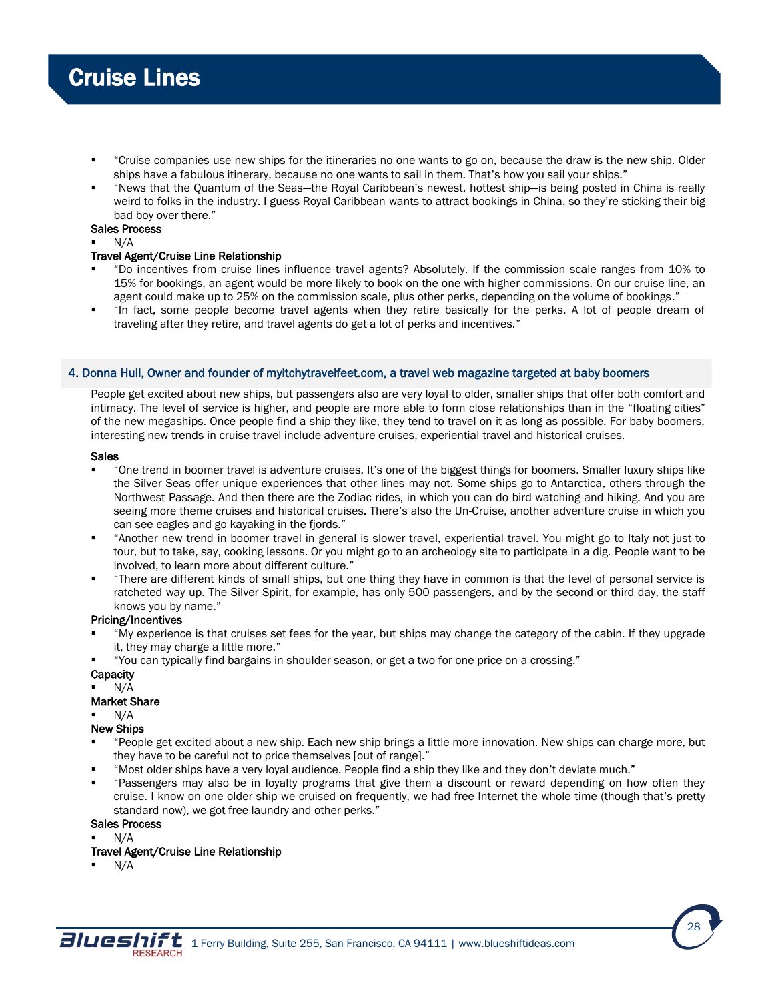- "Cruise companies use new ships for the itineraries no one wants to go on, because the draw is the new ship. Older ships have a fabulous itinerary, because no one wants to sail in them. That's how you sail your ships."
- "News that the Quantum of the Seas—the Royal Caribbean's newest, hottest ship—is being posted in China is really weird to folks in the industry. I guess Royal Caribbean wants to attract bookings in China, so they're sticking their big bad boy over there."

# Sales Process

N/A

# Travel Agent/Cruise Line Relationship

- "Do incentives from cruise lines influence travel agents? Absolutely. If the commission scale ranges from 10% to 15% for bookings, an agent would be more likely to book on the one with higher commissions. On our cruise line, an agent could make up to 25% on the commission scale, plus other perks, depending on the volume of bookings."
- "In fact, some people become travel agents when they retire basically for the perks. A lot of people dream of traveling after they retire, and travel agents do get a lot of perks and incentives."

# 4. Donna Hull, Owner and founder of myitchytravelfeet.com, a travel web magazine targeted at baby boomers

People get excited about new ships, but passengers also are very loyal to older, smaller ships that offer both comfort and intimacy. The level of service is higher, and people are more able to form close relationships than in the "floating cities" of the new megaships. Once people find a ship they like, they tend to travel on it as long as possible. For baby boomers, interesting new trends in cruise travel include adventure cruises, experiential travel and historical cruises.

### Sales

- "One trend in boomer travel is adventure cruises. It's one of the biggest things for boomers. Smaller luxury ships like the Silver Seas offer unique experiences that other lines may not. Some ships go to Antarctica, others through the Northwest Passage. And then there are the Zodiac rides, in which you can do bird watching and hiking. And you are seeing more theme cruises and historical cruises. There's also the Un-Cruise, another adventure cruise in which you can see eagles and go kayaking in the fjords."
- "Another new trend in boomer travel in general is slower travel, experiential travel. You might go to Italy not just to tour, but to take, say, cooking lessons. Or you might go to an archeology site to participate in a dig. People want to be involved, to learn more about different culture."
- "There are different kinds of small ships, but one thing they have in common is that the level of personal service is ratcheted way up. The Silver Spirit, for example, has only 500 passengers, and by the second or third day, the staff knows you by name."

# Pricing/Incentives

- "My experience is that cruises set fees for the year, but ships may change the category of the cabin. If they upgrade it, they may charge a little more."
- "You can typically find bargains in shoulder season, or get a two-for-one price on a crossing."

# **Capacity**

N/A

# Market Share

- N/A
- New Ships
- "People get excited about a new ship. Each new ship brings a little more innovation. New ships can charge more, but they have to be careful not to price themselves [out of range]."
- "Most older ships have a very loyal audience. People find a ship they like and they don't deviate much."
- "Passengers may also be in loyalty programs that give them a discount or reward depending on how often they cruise. I know on one older ship we cruised on frequently, we had free Internet the whole time (though that's pretty standard now), we got free laundry and other perks."

# Sales Process

- N/A
- Travel Agent/Cruise Line Relationship
- N/A

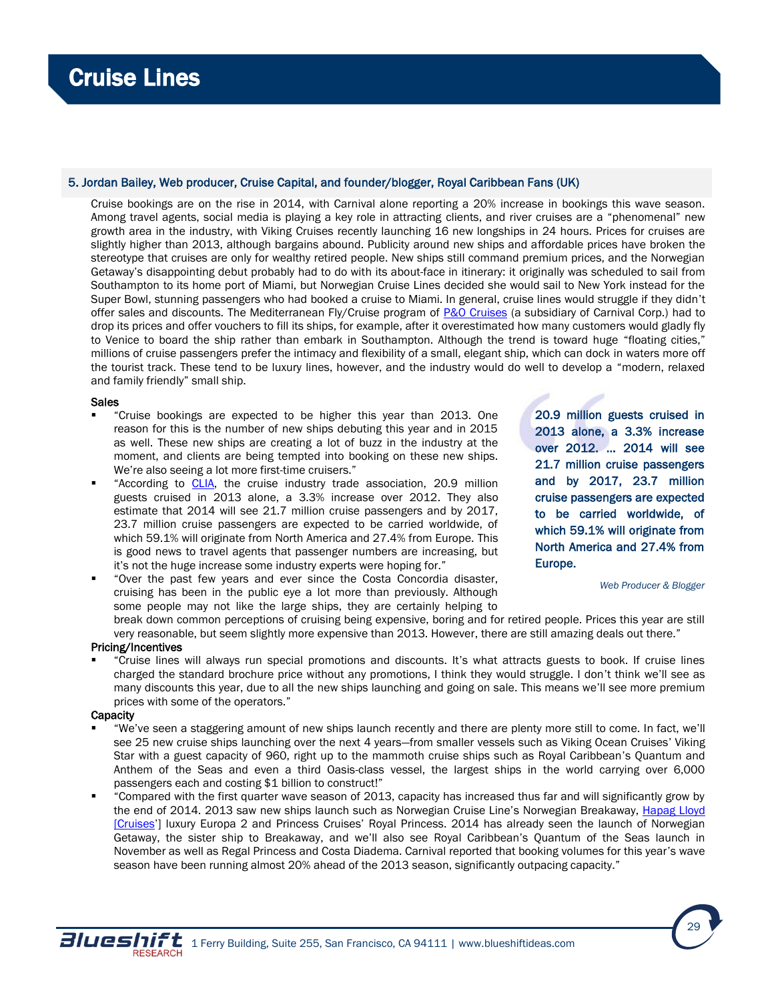# 5. Jordan Bailey, Web producer, Cruise Capital, and founder/blogger, Royal Caribbean Fans (UK)

Cruise bookings are on the rise in 2014, with Carnival alone reporting a 20% increase in bookings this wave season. Among travel agents, social media is playing a key role in attracting clients, and river cruises are a "phenomenal" new growth area in the industry, with Viking Cruises recently launching 16 new longships in 24 hours. Prices for cruises are slightly higher than 2013, although bargains abound. Publicity around new ships and affordable prices have broken the stereotype that cruises are only for wealthy retired people. New ships still command premium prices, and the Norwegian Getaway's disappointing debut probably had to do with its about-face in itinerary: it originally was scheduled to sail from Southampton to its home port of Miami, but Norwegian Cruise Lines decided she would sail to New York instead for the Super Bowl, stunning passengers who had booked a cruise to Miami. In general, cruise lines would struggle if they didn't offer sales and discounts. The Mediterranean Fly/Cruise program of [P&O Cruises](http://www.pocruises.com/) (a subsidiary of Carnival Corp.) had to drop its prices and offer vouchers to fill its ships, for example, after it overestimated how many customers would gladly fly to Venice to board the ship rather than embark in Southampton. Although the trend is toward huge "floating cities," millions of cruise passengers prefer the intimacy and flexibility of a small, elegant ship, which can dock in waters more off the tourist track. These tend to be luxury lines, however, and the industry would do well to develop a "modern, relaxed and family friendly" small ship.

# Sales

- "Cruise bookings are expected to be higher this year than 2013. One reason for this is the number of new ships debuting this year and in 2015 as well. These new ships are creating a lot of buzz in the industry at the moment, and clients are being tempted into booking on these new ships. We're also seeing a lot more first-time cruisers."
- "According to [CLIA,](http://www.cruising.org/) the cruise industry trade association, 20.9 million guests cruised in 2013 alone, a 3.3% increase over 2012. They also estimate that 2014 will see 21.7 million cruise passengers and by 2017, 23.7 million cruise passengers are expected to be carried worldwide, of which 59.1% will originate from North America and 27.4% from Europe. This is good news to travel agents that passenger numbers are increasing, but it's not the huge increase some industry experts were hoping for."
- "Over the past few years and ever since the Costa Concordia disaster, cruising has been in the public eye a lot more than previously. Although some people may not like the large ships, they are certainly helping to

20.9 million guests cruised in 2013 alone, a 3.3% increase over 2012. … 2014 will see 21.7 million cruise passengers and by 2017, 23.7 million cruise passengers are expected to be carried worldwide, of which 59.1% will originate from North America and 27.4% from Europe.

*Web Producer & Blogger*

break down common perceptions of cruising being expensive, boring and for retired people. Prices this year are still very reasonable, but seem slightly more expensive than 2013. However, there are still amazing deals out there."

# Pricing/Incentives

 "Cruise lines will always run special promotions and discounts. It's what attracts guests to book. If cruise lines charged the standard brochure price without any promotions, I think they would struggle. I don't think we'll see as many discounts this year, due to all the new ships launching and going on sale. This means we'll see more premium prices with some of the operators."

## **Capacity**

- "We've seen a staggering amount of new ships launch recently and there are plenty more still to come. In fact, we'll see 25 new cruise ships launching over the next 4 years—from smaller vessels such as Viking Ocean Cruises' Viking Star with a guest capacity of 960, right up to the mammoth cruise ships such as Royal Caribbean's Quantum and Anthem of the Seas and even a third Oasis-class vessel, the largest ships in the world carrying over 6,000 passengers each and costing \$1 billion to construct!"
- "Compared with the first quarter wave season of 2013, capacity has increased thus far and will significantly grow by the end of 2014. 2013 saw new ships launch such as Norwegian Cruise Line's Norwegian Breakaway, [Hapag Lloyd](http://www.hl-cruises.com/)  [\[Cruises](http://www.hl-cruises.com/)'] luxury Europa 2 and Princess Cruises' Royal Princess. 2014 has already seen the launch of Norwegian Getaway, the sister ship to Breakaway, and we'll also see Royal Caribbean's Quantum of the Seas launch in November as well as Regal Princess and Costa Diadema. Carnival reported that booking volumes for this year's wave season have been running almost 20% ahead of the 2013 season, significantly outpacing capacity."

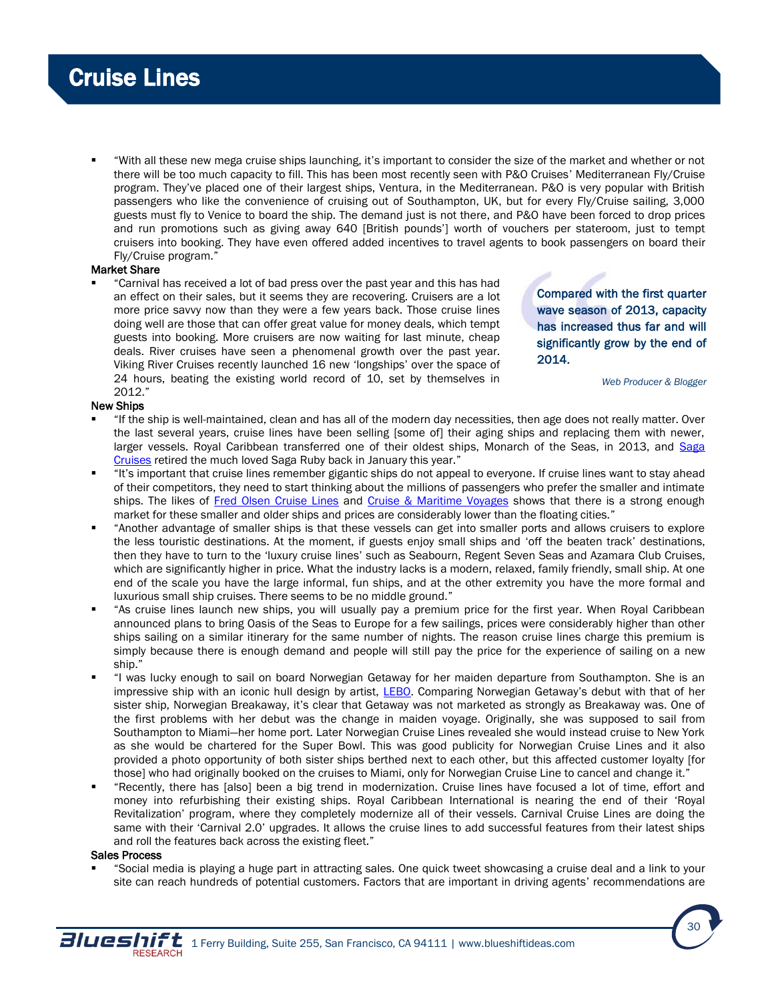"With all these new mega cruise ships launching, it's important to consider the size of the market and whether or not there will be too much capacity to fill. This has been most recently seen with P&O Cruises' Mediterranean Fly/Cruise program. They've placed one of their largest ships, Ventura, in the Mediterranean. P&O is very popular with British passengers who like the convenience of cruising out of Southampton, UK, but for every Fly/Cruise sailing, 3,000 guests must fly to Venice to board the ship. The demand just is not there, and P&O have been forced to drop prices and run promotions such as giving away 640 [British pounds'] worth of vouchers per stateroom, just to tempt cruisers into booking. They have even offered added incentives to travel agents to book passengers on board their Fly/Cruise program."

# Market Share

 "Carnival has received a lot of bad press over the past year and this has had an effect on their sales, but it seems they are recovering. Cruisers are a lot more price savvy now than they were a few years back. Those cruise lines doing well are those that can offer great value for money deals, which tempt guests into booking. More cruisers are now waiting for last minute, cheap deals. River cruises have seen a phenomenal growth over the past year. Viking River Cruises recently launched 16 new 'longships' over the space of 24 hours, beating the existing world record of 10, set by themselves in 2012."

Compared with the first quarter wave season of 2013, capacity has increased thus far and will significantly grow by the end of 2014.

*Web Producer & Blogger*

# New Ships

- "If the ship is well-maintained, clean and has all of the modern day necessities, then age does not really matter. Over the last several years, cruise lines have been selling [some of] their aging ships and replacing them with newer, larger vessels. Royal Caribbean transferred one of their oldest ships, Monarch of the Seas, in 2013, and [Saga](http://travel.saga.co.uk/holidays.aspx)  [Cruises](http://travel.saga.co.uk/holidays.aspx) retired the much loved Saga Ruby back in January this year."
- "It's important that cruise lines remember gigantic ships do not appeal to everyone. If cruise lines want to stay ahead of their competitors, they need to start thinking about the millions of passengers who prefer the smaller and intimate ships. The likes of [Fred Olsen Cruise Lines](http://www.fredolsencruises.com/home) and [Cruise & Maritime Voyages](http://us.cruiseandmaritime.com/) shows that there is a strong enough market for these smaller and older ships and prices are considerably lower than the floating cities."
- "Another advantage of smaller ships is that these vessels can get into smaller ports and allows cruisers to explore the less touristic destinations. At the moment, if guests enjoy small ships and 'off the beaten track' destinations, then they have to turn to the 'luxury cruise lines' such as Seabourn, Regent Seven Seas and Azamara Club Cruises, which are significantly higher in price. What the industry lacks is a modern, relaxed, family friendly, small ship. At one end of the scale you have the large informal, fun ships, and at the other extremity you have the more formal and luxurious small ship cruises. There seems to be no middle ground."
- "As cruise lines launch new ships, you will usually pay a premium price for the first year. When Royal Caribbean announced plans to bring Oasis of the Seas to Europe for a few sailings, prices were considerably higher than other ships sailing on a similar itinerary for the same number of nights. The reason cruise lines charge this premium is simply because there is enough demand and people will still pay the price for the experience of sailing on a new ship."
- "I was lucky enough to sail on board Norwegian Getaway for her maiden departure from Southampton. She is an impressive ship with an iconic hull design by artist, [LEBO.](http://www.lebostudios.com/) Comparing Norwegian Getaway's debut with that of her sister ship, Norwegian Breakaway, it's clear that Getaway was not marketed as strongly as Breakaway was. One of the first problems with her debut was the change in maiden voyage. Originally, she was supposed to sail from Southampton to Miami—her home port. Later Norwegian Cruise Lines revealed she would instead cruise to New York as she would be chartered for the Super Bowl. This was good publicity for Norwegian Cruise Lines and it also provided a photo opportunity of both sister ships berthed next to each other, but this affected customer loyalty [for those] who had originally booked on the cruises to Miami, only for Norwegian Cruise Line to cancel and change it."
- "Recently, there has [also] been a big trend in modernization. Cruise lines have focused a lot of time, effort and money into refurbishing their existing ships. Royal Caribbean International is nearing the end of their 'Royal Revitalization' program, where they completely modernize all of their vessels. Carnival Cruise Lines are doing the same with their 'Carnival 2.0' upgrades. It allows the cruise lines to add successful features from their latest ships and roll the features back across the existing fleet."

# Sales Process

 "Social media is playing a huge part in attracting sales. One quick tweet showcasing a cruise deal and a link to your site can reach hundreds of potential customers. Factors that are important in driving agents' recommendations are

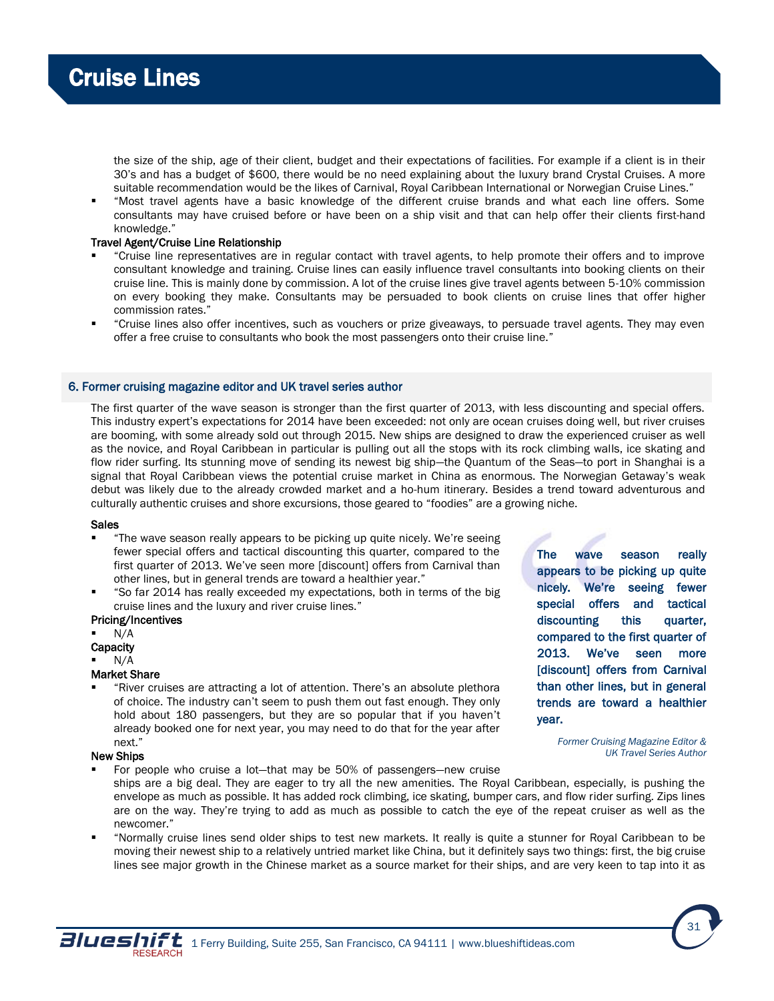

the size of the ship, age of their client, budget and their expectations of facilities. For example if a client is in their 30's and has a budget of \$600, there would be no need explaining about the luxury brand Crystal Cruises. A more suitable recommendation would be the likes of Carnival, Royal Caribbean International or Norwegian Cruise Lines."

 "Most travel agents have a basic knowledge of the different cruise brands and what each line offers. Some consultants may have cruised before or have been on a ship visit and that can help offer their clients first-hand knowledge."

## Travel Agent/Cruise Line Relationship

- "Cruise line representatives are in regular contact with travel agents, to help promote their offers and to improve consultant knowledge and training. Cruise lines can easily influence travel consultants into booking clients on their cruise line. This is mainly done by commission. A lot of the cruise lines give travel agents between 5-10% commission on every booking they make. Consultants may be persuaded to book clients on cruise lines that offer higher commission rates."
- "Cruise lines also offer incentives, such as vouchers or prize giveaways, to persuade travel agents. They may even offer a free cruise to consultants who book the most passengers onto their cruise line."

## 6. Former cruising magazine editor and UK travel series author

The first quarter of the wave season is stronger than the first quarter of 2013, with less discounting and special offers. This industry expert's expectations for 2014 have been exceeded: not only are ocean cruises doing well, but river cruises are booming, with some already sold out through 2015. New ships are designed to draw the experienced cruiser as well as the novice, and Royal Caribbean in particular is pulling out all the stops with its rock climbing walls, ice skating and flow rider surfing. Its stunning move of sending its newest big ship—the Quantum of the Seas—to port in Shanghai is a signal that Royal Caribbean views the potential cruise market in China as enormous. The Norwegian Getaway's weak debut was likely due to the already crowded market and a ho-hum itinerary. Besides a trend toward adventurous and culturally authentic cruises and shore excursions, those geared to "foodies" are a growing niche.

#### Sales

- "The wave season really appears to be picking up quite nicely. We're seeing fewer special offers and tactical discounting this quarter, compared to the first quarter of 2013. We've seen more [discount] offers from Carnival than other lines, but in general trends are toward a healthier year."
- "So far 2014 has really exceeded my expectations, both in terms of the big cruise lines and the luxury and river cruise lines."

### Pricing/Incentives

- N/A
- **Capacity**
- N/A

# Market Share

 "River cruises are attracting a lot of attention. There's an absolute plethora of choice. The industry can't seem to push them out fast enough. They only hold about 180 passengers, but they are so popular that if you haven't already booked one for next year, you may need to do that for the year after next."

The wave season really appears to be picking up quite nicely. We're seeing fewer special offers and tactical discounting this quarter, compared to the first quarter of 2013. We've seen more [discount] offers from Carnival than other lines, but in general trends are toward a healthier year.

#### New Ships

For people who cruise a lot—that may be 50% of passengers—new cruise

*Former Cruising Magazine Editor & UK Travel Series Author*

- ships are a big deal. They are eager to try all the new amenities. The Royal Caribbean, especially, is pushing the envelope as much as possible. It has added rock climbing, ice skating, bumper cars, and flow rider surfing. Zips lines are on the way. They're trying to add as much as possible to catch the eye of the repeat cruiser as well as the newcomer."
- "Normally cruise lines send older ships to test new markets. It really is quite a stunner for Royal Caribbean to be moving their newest ship to a relatively untried market like China, but it definitely says two things: first, the big cruise lines see major growth in the Chinese market as a source market for their ships, and are very keen to tap into it as

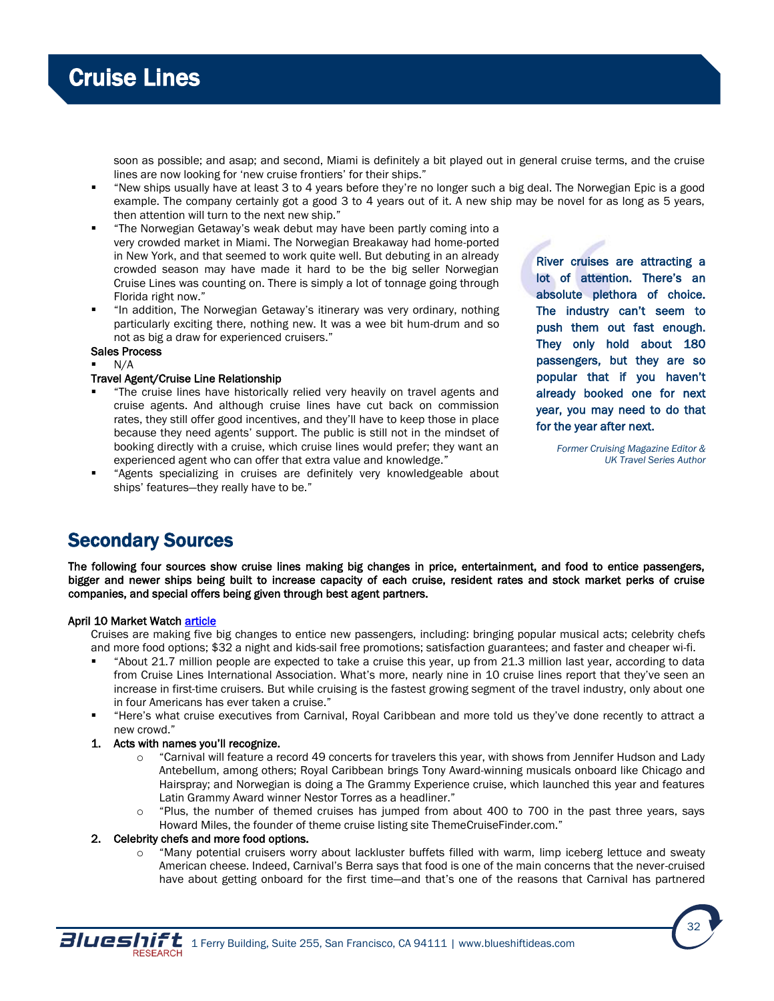

soon as possible; and asap; and second, Miami is definitely a bit played out in general cruise terms, and the cruise lines are now looking for 'new cruise frontiers' for their ships."

- "New ships usually have at least 3 to 4 years before they're no longer such a big deal. The Norwegian Epic is a good example. The company certainly got a good 3 to 4 years out of it. A new ship may be novel for as long as 5 years, then attention will turn to the next new ship."
- "The Norwegian Getaway's weak debut may have been partly coming into a very crowded market in Miami. The Norwegian Breakaway had home-ported in New York, and that seemed to work quite well. But debuting in an already crowded season may have made it hard to be the big seller Norwegian Cruise Lines was counting on. There is simply a lot of tonnage going through Florida right now."
- "In addition, The Norwegian Getaway's itinerary was very ordinary, nothing particularly exciting there, nothing new. It was a wee bit hum-drum and so not as big a draw for experienced cruisers."
- Sales Process
- N/A

# Travel Agent/Cruise Line Relationship

- "The cruise lines have historically relied very heavily on travel agents and cruise agents. And although cruise lines have cut back on commission rates, they still offer good incentives, and they'll have to keep those in place because they need agents' support. The public is still not in the mindset of booking directly with a cruise, which cruise lines would prefer; they want an experienced agent who can offer that extra value and knowledge."
- "Agents specializing in cruises are definitely very knowledgeable about ships' features—they really have to be."

River cruises are attracting a lot of attention. There's an absolute plethora of choice. The industry can't seem to push them out fast enough. They only hold about 180 passengers, but they are so popular that if you haven't already booked one for next year, you may need to do that for the year after next.

> *Former Cruising Magazine Editor & UK Travel Series Author*

# Secondary Sources

The following four sources show cruise lines making big changes in price, entertainment, and food to entice passengers, bigger and newer ships being built to increase capacity of each cruise, resident rates and stock market perks of cruise companies, and special offers being given through best agent partners.

# April 10 Market Watch [article](http://www.marketwatch.com/story/cruise-industrys-plan-to-win-over-the-haters-2014-04-09)

Cruises are making five big changes to entice new passengers, including: bringing popular musical acts; celebrity chefs and more food options; \$32 a night and kids-sail free promotions; satisfaction guarantees; and faster and cheaper wi-fi.

- "About 21.7 million people are expected to take a cruise this year, up from 21.3 million last year, according to data from Cruise Lines International Association. What's more, nearly nine in 10 cruise lines report that they've seen an increase in first-time cruisers. But while cruising is the fastest growing segment of the travel industry, only about one in four Americans has ever taken a cruise."
- "Here's what cruise executives from Carnival, Royal Caribbean and more told us they've done recently to attract a new crowd."
- 1. Acts with names you'll recognize.
	- o "Carnival will feature a record 49 concerts for travelers this year, with shows from Jennifer Hudson and Lady Antebellum, among others; Royal Caribbean brings Tony Award-winning musicals onboard like Chicago and Hairspray; and Norwegian is doing a The Grammy Experience cruise, which launched this year and features Latin Grammy Award winner Nestor Torres as a headliner."
	- $\circ$  "Plus, the number of themed cruises has jumped from about 400 to 700 in the past three years, says Howard Miles, the founder of theme cruise listing site ThemeCruiseFinder.com."

# 2. Celebrity chefs and more food options.

o "Many potential cruisers worry about lackluster buffets filled with warm, limp iceberg lettuce and sweaty American cheese. Indeed, Carnival's Berra says that food is one of the main concerns that the never-cruised have about getting onboard for the first time—and that's one of the reasons that Carnival has partnered

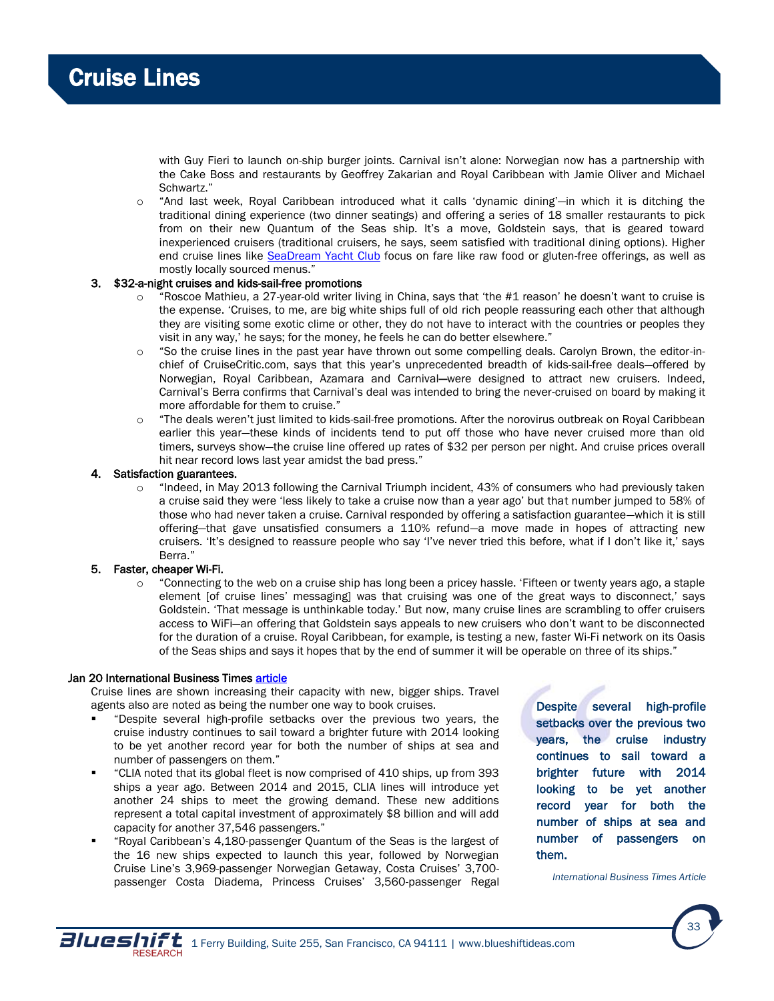with Guy Fieri to launch on-ship burger joints. Carnival isn't alone: Norwegian now has a partnership with the Cake Boss and restaurants by Geoffrey Zakarian and Royal Caribbean with Jamie Oliver and Michael Schwartz."

o "And last week, Royal Caribbean introduced what it calls 'dynamic dining'—in which it is ditching the traditional dining experience (two dinner seatings) and offering a series of 18 smaller restaurants to pick from on their new Quantum of the Seas ship. It's a move, Goldstein says, that is geared toward inexperienced cruisers (traditional cruisers, he says, seem satisfied with traditional dining options). Higher end cruise lines like [SeaDream Yacht Club](http://www.seadream.com/) focus on fare like raw food or gluten-free offerings, as well as mostly locally sourced menus."

# 3. \$32-a-night cruises and kids-sail-free promotions

- "Roscoe Mathieu, a 27-year-old writer living in China, says that 'the #1 reason' he doesn't want to cruise is the expense. 'Cruises, to me, are big white ships full of old rich people reassuring each other that although they are visiting some exotic clime or other, they do not have to interact with the countries or peoples they visit in any way,' he says; for the money, he feels he can do better elsewhere."
- o "So the cruise lines in the past year have thrown out some compelling deals. Carolyn Brown, the editor-inchief of CruiseCritic.com, says that this year's unprecedented breadth of kids-sail-free deals—offered by Norwegian, Royal Caribbean, Azamara and Carnival—were designed to attract new cruisers. Indeed, Carnival's Berra confirms that Carnival's deal was intended to bring the never-cruised on board by making it more affordable for them to cruise."
- o "The deals weren't just limited to kids-sail-free promotions. After the norovirus outbreak on Royal Caribbean earlier this year—these kinds of incidents tend to put off those who have never cruised more than old timers, surveys show—the cruise line offered up rates of \$32 per person per night. And cruise prices overall hit near record lows last year amidst the bad press."

# Satisfaction guarantees.

o "Indeed, in May 2013 following the Carnival Triumph incident, 43% of consumers who had previously taken a cruise said they were 'less likely to take a cruise now than a year ago' but that number jumped to 58% of those who had never taken a cruise. Carnival responded by offering a satisfaction guarantee—which it is still offering—that gave unsatisfied consumers a 110% refund—a move made in hopes of attracting new cruisers. 'It's designed to reassure people who say 'I've never tried this before, what if I don't like it,' says Berra."

# 5. Faster, cheaper Wi-Fi.

o "Connecting to the web on a cruise ship has long been a pricey hassle. 'Fifteen or twenty years ago, a staple element [of cruise lines' messaging] was that cruising was one of the great ways to disconnect,' says Goldstein. 'That message is unthinkable today.' But now, many cruise lines are scrambling to offer cruisers access to WiFi—an offering that Goldstein says appeals to new cruisers who don't want to be disconnected for the duration of a cruise. Royal Caribbean, for example, is testing a new, faster Wi-Fi network on its Oasis of the Seas ships and says it hopes that by the end of summer it will be operable on three of its ships."

# Jan 20 International Business Times article

Cruise lines are shown increasing their capacity with new, bigger ships. Travel agents also are noted as being the number one way to book cruises.

- "Despite several high-profile setbacks over the previous two years, the cruise industry continues to sail toward a brighter future with 2014 looking to be yet another record year for both the number of ships at sea and number of passengers on them."
- "CLIA noted that its global fleet is now comprised of 410 ships, up from 393 ships a year ago. Between 2014 and 2015, CLIA lines will introduce yet another 24 ships to meet the growing demand. These new additions represent a total capital investment of approximately \$8 billion and will add capacity for another 37,546 passengers."
- "Royal Caribbean's 4,180-passenger Quantum of the Seas is the largest of the 16 new ships expected to launch this year, followed by Norwegian Cruise Line's 3,969-passenger Norwegian Getaway, Costa Cruises' 3,700 passenger Costa Diadema, Princess Cruises' 3,560-passenger Regal

Despite several high-profile setbacks over the previous two years, the cruise industry continues to sail toward a brighter future with 2014 looking to be yet another record year for both the number of ships at sea and number of passengers on them.

*International Business Times Article*

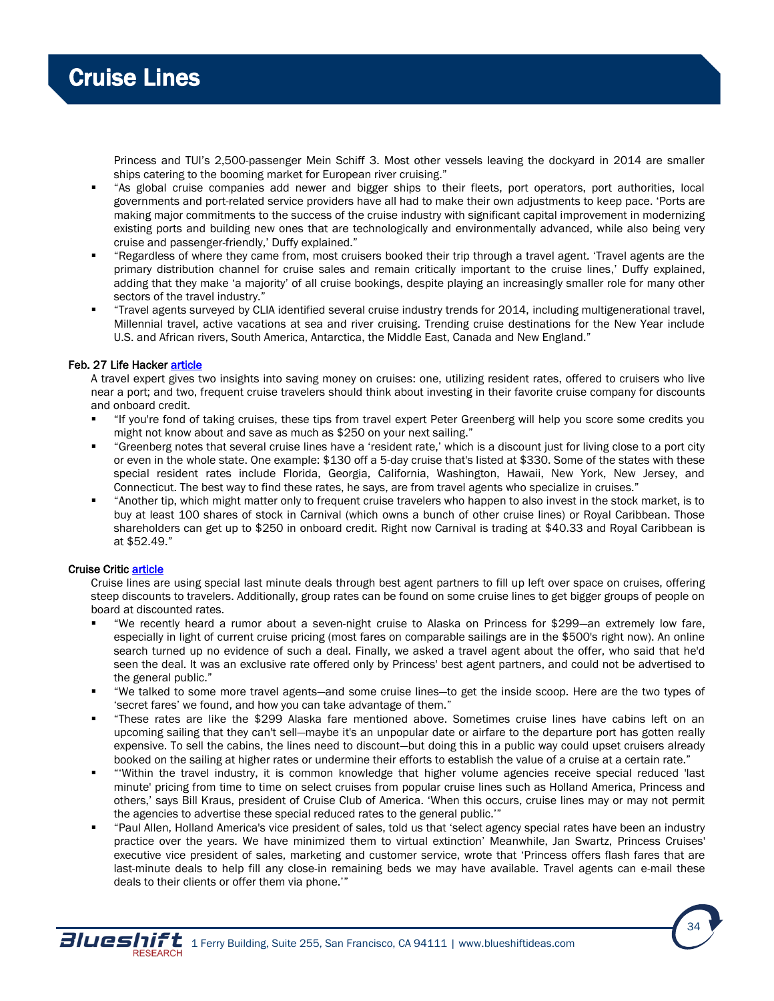

Princess and TUI's 2,500-passenger Mein Schiff 3. Most other vessels leaving the dockyard in 2014 are smaller ships catering to the booming market for European river cruising."

- "As global cruise companies add newer and bigger ships to their fleets, port operators, port authorities, local governments and port-related service providers have all had to make their own adjustments to keep pace. 'Ports are making major commitments to the success of the cruise industry with significant capital improvement in modernizing existing ports and building new ones that are technologically and environmentally advanced, while also being very cruise and passenger-friendly,' Duffy explained."
- "Regardless of where they came from, most cruisers booked their trip through a travel agent. 'Travel agents are the primary distribution channel for cruise sales and remain critically important to the cruise lines,' Duffy explained, adding that they make 'a majority' of all cruise bookings, despite playing an increasingly smaller role for many other sectors of the travel industry."
- "Travel agents surveyed by CLIA identified several cruise industry trends for 2014, including multigenerational travel, Millennial travel, active vacations at sea and river cruising. Trending cruise destinations for the New Year include U.S. and African rivers, South America, Antarctica, the Middle East, Canada and New England."

### Feb. 27 Life Hacker [article](http://lifehacker.com/ask-for-hidden-cruise-discounts-and-save-big-bucks-on-y-1532466177)

A travel expert gives two insights into saving money on cruises: one, utilizing resident rates, offered to cruisers who live near a port; and two, frequent cruise travelers should think about investing in their favorite cruise company for discounts and onboard credit.

- "If you're fond of taking cruises, these tips from travel expert Peter Greenberg will help you score some credits you might not know about and save as much as \$250 on your next sailing."
- "Greenberg notes that several cruise lines have a 'resident rate,' which is a discount just for living close to a port city or even in the whole state. One example: \$130 off a 5-day cruise that's listed at \$330. Some of the states with these special resident rates include Florida, Georgia, California, Washington, Hawaii, New York, New Jersey, and Connecticut. The best way to find these rates, he says, are from travel agents who specialize in cruises."
- "Another tip, which might matter only to frequent cruise travelers who happen to also invest in the stock market, is to buy at least 100 shares of stock in Carnival (which owns a bunch of other cruise lines) or Royal Caribbean. Those shareholders can get up to \$250 in onboard credit. Right now Carnival is trading at \$40.33 and Royal Caribbean is at \$52.49."

# Cruise Criti[c article](http://www.cruisecritic.com/articles.cfm?ID=1129)

Cruise lines are using special last minute deals through best agent partners to fill up left over space on cruises, offering steep discounts to travelers. Additionally, group rates can be found on some cruise lines to get bigger groups of people on board at discounted rates.

- "We recently heard a rumor about a seven-night cruise to Alaska on Princess for \$299—an extremely low fare, especially in light of current cruise pricing (most fares on comparable sailings are in the \$500's right now). An online search turned up no evidence of such a deal. Finally, we asked a travel agent about the offer, who said that he'd seen the deal. It was an exclusive rate offered only by Princess' best agent partners, and could not be advertised to the general public."
- "We talked to some more travel agents—and some cruise lines—to get the inside scoop. Here are the two types of 'secret fares' we found, and how you can take advantage of them."
- "These rates are like the \$299 Alaska fare mentioned above. Sometimes cruise lines have cabins left on an upcoming sailing that they can't sell—maybe it's an unpopular date or airfare to the departure port has gotten really expensive. To sell the cabins, the lines need to discount—but doing this in a public way could upset cruisers already booked on the sailing at higher rates or undermine their efforts to establish the value of a cruise at a certain rate."
- "'Within the travel industry, it is common knowledge that higher volume agencies receive special reduced 'last minute' pricing from time to time on select cruises from popular cruise lines such as Holland America, Princess and others,' says Bill Kraus, president of Cruise Club of America. 'When this occurs, cruise lines may or may not permit the agencies to advertise these special reduced rates to the general public.'"
- "Paul Allen, Holland America's vice president of sales, told us that 'select agency special rates have been an industry practice over the years. We have minimized them to virtual extinction' Meanwhile, Jan Swartz, Princess Cruises' executive vice president of sales, marketing and customer service, wrote that 'Princess offers flash fares that are last-minute deals to help fill any close-in remaining beds we may have available. Travel agents can e-mail these deals to their clients or offer them via phone.'"